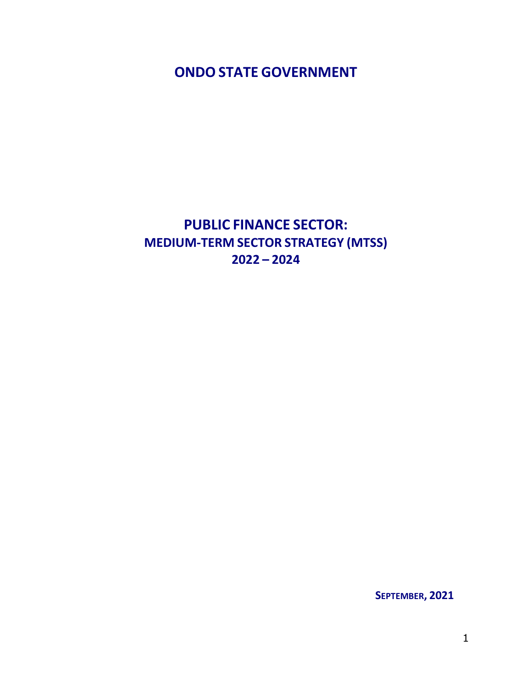<span id="page-0-0"></span>**ONDO STATE GOVERNMENT**

# **PUBLIC FINANCE SECTOR: MEDIUM-TERM SECTOR STRATEGY (MTSS) 2022 – 2024**

**SEPTEMBER, 2021**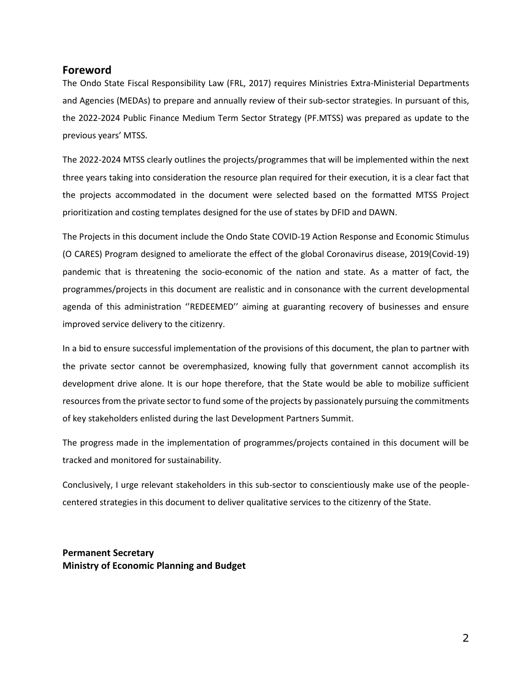#### <span id="page-1-0"></span>**Foreword**

The Ondo State Fiscal Responsibility Law (FRL, 2017) requires Ministries Extra-Ministerial Departments and Agencies (MEDAs) to prepare and annually review of their sub-sector strategies. In pursuant of this, the 2022-2024 Public Finance Medium Term Sector Strategy (PF.MTSS) was prepared as update to the previous years' MTSS.

The 2022-2024 MTSS clearly outlines the projects/programmes that will be implemented within the next three years taking into consideration the resource plan required for their execution, it is a clear fact that the projects accommodated in the document were selected based on the formatted MTSS Project prioritization and costing templates designed for the use of states by DFID and DAWN.

The Projects in this document include the Ondo State COVID-19 Action Response and Economic Stimulus (O CARES) Program designed to ameliorate the effect of the global Coronavirus disease, 2019(Covid-19) pandemic that is threatening the socio-economic of the nation and state. As a matter of fact, the programmes/projects in this document are realistic and in consonance with the current developmental agenda of this administration ''REDEEMED'' aiming at guaranting recovery of businesses and ensure improved service delivery to the citizenry.

In a bid to ensure successful implementation of the provisions of this document, the plan to partner with the private sector cannot be overemphasized, knowing fully that government cannot accomplish its development drive alone. It is our hope therefore, that the State would be able to mobilize sufficient resources from the private sector to fund some of the projects by passionately pursuing the commitments of key stakeholders enlisted during the last Development Partners Summit.

The progress made in the implementation of programmes/projects contained in this document will be tracked and monitored for sustainability.

Conclusively, I urge relevant stakeholders in this sub-sector to conscientiously make use of the peoplecentered strategies in this document to deliver qualitative services to the citizenry of the State.

<span id="page-1-1"></span>**Permanent Secretary Ministry of Economic Planning and Budget**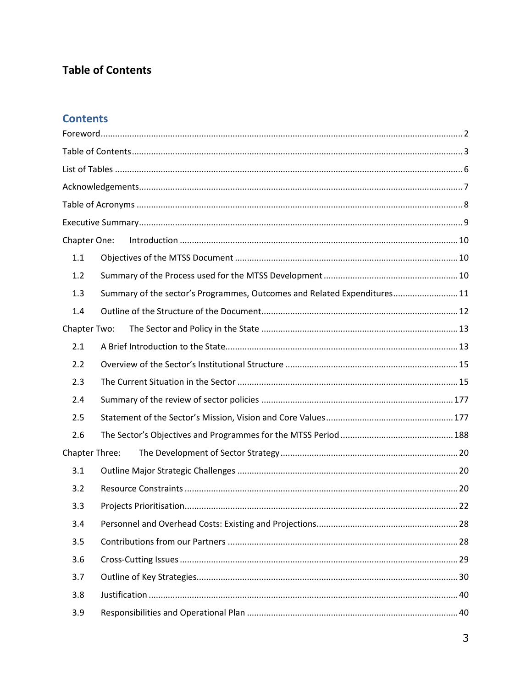## **Table of Contents**

### **Contents**

| Chapter One:   |                                                                          |  |
|----------------|--------------------------------------------------------------------------|--|
| 1.1            |                                                                          |  |
| 1.2            |                                                                          |  |
| 1.3            | Summary of the sector's Programmes, Outcomes and Related Expenditures 11 |  |
| 1.4            |                                                                          |  |
| Chapter Two:   |                                                                          |  |
| 2.1            |                                                                          |  |
| 2.2            |                                                                          |  |
| 2.3            |                                                                          |  |
| 2.4            |                                                                          |  |
| 2.5            |                                                                          |  |
| 2.6            |                                                                          |  |
| Chapter Three: |                                                                          |  |
| 3.1            |                                                                          |  |
| 3.2            |                                                                          |  |
| 3.3            |                                                                          |  |
| 3.4            |                                                                          |  |
| 3.5            |                                                                          |  |
| 3.6            |                                                                          |  |
| 3.7            |                                                                          |  |
| 3.8            |                                                                          |  |
| 3.9            |                                                                          |  |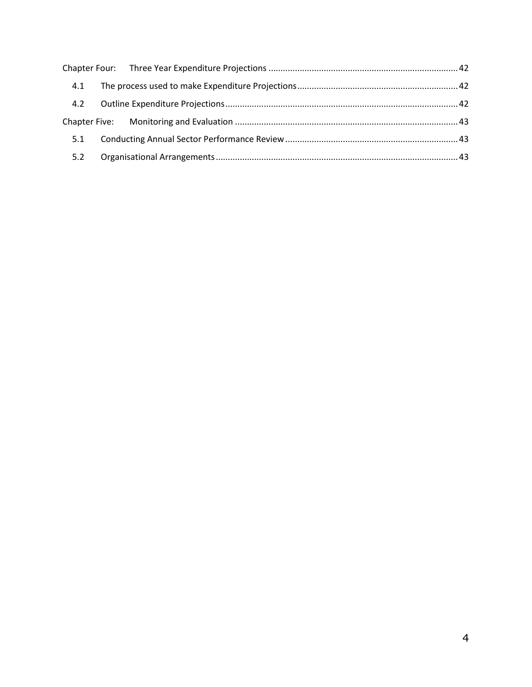| 4.1 |  |  |
|-----|--|--|
| 4.2 |  |  |
|     |  |  |
| 5.1 |  |  |
| 5.2 |  |  |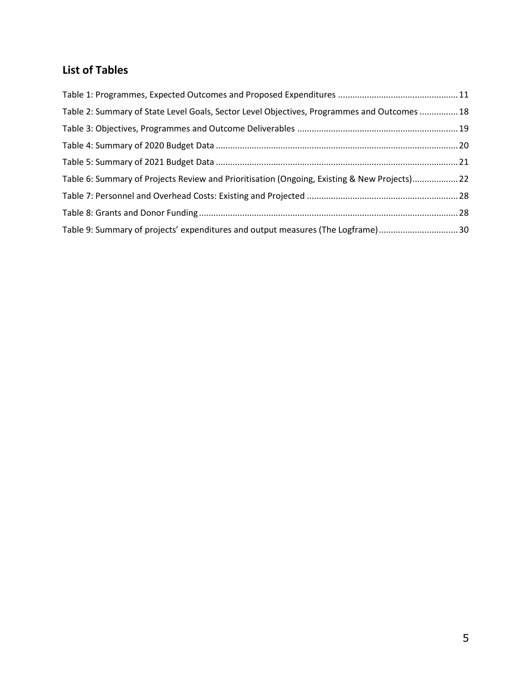## <span id="page-4-0"></span>**List of Tables**

| Table 2: Summary of State Level Goals, Sector Level Objectives, Programmes and Outcomes  18 |  |
|---------------------------------------------------------------------------------------------|--|
|                                                                                             |  |
|                                                                                             |  |
|                                                                                             |  |
| Table 6: Summary of Projects Review and Prioritisation (Ongoing, Existing & New Projects)22 |  |
|                                                                                             |  |
|                                                                                             |  |
| Table 9: Summary of projects' expenditures and output measures (The Logframe)30             |  |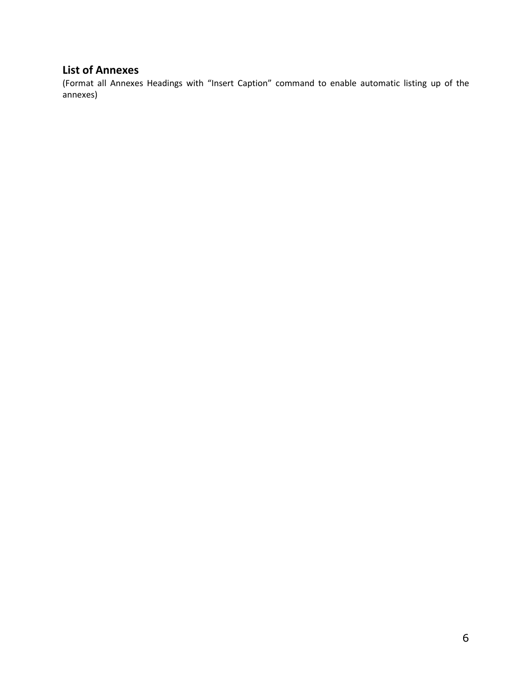## **List of Annexes**

(Format all Annexes Headings with "Insert Caption" command to enable automatic listing up of the annexes)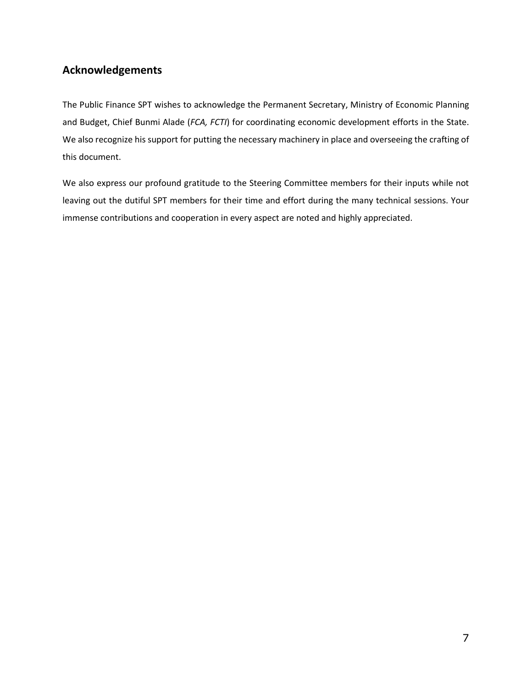### <span id="page-6-0"></span>**Acknowledgements**

The Public Finance SPT wishes to acknowledge the Permanent Secretary, Ministry of Economic Planning and Budget, Chief Bunmi Alade (*FCA, FCTI*) for coordinating economic development efforts in the State. We also recognize his support for putting the necessary machinery in place and overseeing the crafting of this document.

We also express our profound gratitude to the Steering Committee members for their inputs while not leaving out the dutiful SPT members for their time and effort during the many technical sessions. Your immense contributions and cooperation in every aspect are noted and highly appreciated.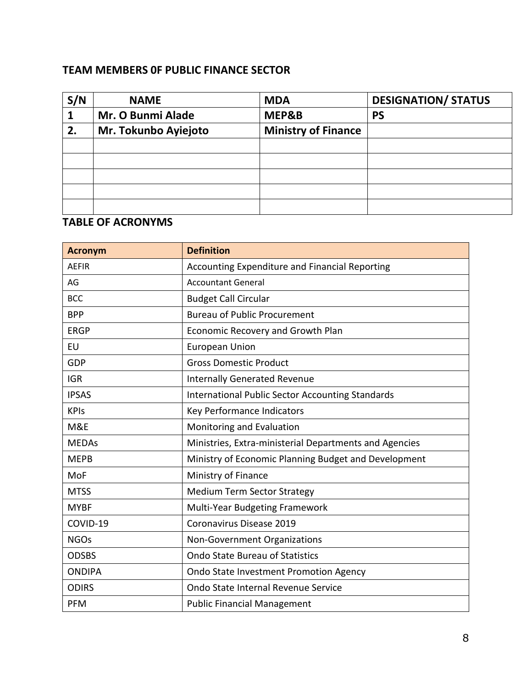### <span id="page-7-0"></span>**TEAM MEMBERS 0F PUBLIC FINANCE SECTOR**

| S/N | <b>NAME</b>              | <b>MDA</b>                 | <b>DESIGNATION/ STATUS</b> |
|-----|--------------------------|----------------------------|----------------------------|
|     | <b>Mr. O Bunmi Alade</b> | MEP&B                      | <b>PS</b>                  |
| 2.  | Mr. Tokunbo Ayiejoto     | <b>Ministry of Finance</b> |                            |
|     |                          |                            |                            |
|     |                          |                            |                            |
|     |                          |                            |                            |
|     |                          |                            |                            |
|     |                          |                            |                            |

### **TABLE OF ACRONYMS**

| <b>Acronym</b> | <b>Definition</b>                                       |
|----------------|---------------------------------------------------------|
| <b>AEFIR</b>   | Accounting Expenditure and Financial Reporting          |
| AG             | <b>Accountant General</b>                               |
| <b>BCC</b>     | <b>Budget Call Circular</b>                             |
| <b>BPP</b>     | <b>Bureau of Public Procurement</b>                     |
| <b>ERGP</b>    | Economic Recovery and Growth Plan                       |
| EU             | <b>European Union</b>                                   |
| <b>GDP</b>     | <b>Gross Domestic Product</b>                           |
| <b>IGR</b>     | <b>Internally Generated Revenue</b>                     |
| <b>IPSAS</b>   | <b>International Public Sector Accounting Standards</b> |
| <b>KPIs</b>    | Key Performance Indicators                              |
| M&E            | Monitoring and Evaluation                               |
| <b>MEDAs</b>   | Ministries, Extra-ministerial Departments and Agencies  |
| <b>MEPB</b>    | Ministry of Economic Planning Budget and Development    |
| MoF            | Ministry of Finance                                     |
| <b>MTSS</b>    | <b>Medium Term Sector Strategy</b>                      |
| <b>MYBF</b>    | Multi-Year Budgeting Framework                          |
| COVID-19       | Coronavirus Disease 2019                                |
| <b>NGOs</b>    | Non-Government Organizations                            |
| <b>ODSBS</b>   | <b>Ondo State Bureau of Statistics</b>                  |
| <b>ONDIPA</b>  | Ondo State Investment Promotion Agency                  |
| <b>ODIRS</b>   | Ondo State Internal Revenue Service                     |
| <b>PFM</b>     | <b>Public Financial Management</b>                      |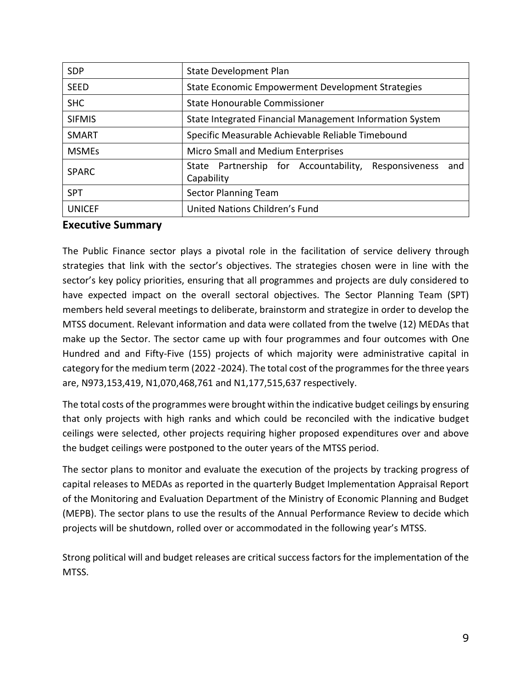| <b>SDP</b>    | State Development Plan                                                    |  |  |  |  |
|---------------|---------------------------------------------------------------------------|--|--|--|--|
| <b>SEED</b>   | State Economic Empowerment Development Strategies                         |  |  |  |  |
| <b>SHC</b>    | State Honourable Commissioner                                             |  |  |  |  |
| <b>SIFMIS</b> | State Integrated Financial Management Information System                  |  |  |  |  |
| <b>SMART</b>  | Specific Measurable Achievable Reliable Timebound                         |  |  |  |  |
| <b>MSMEs</b>  | Micro Small and Medium Enterprises                                        |  |  |  |  |
| <b>SPARC</b>  | State Partnership for Accountability,<br>Responsiveness and<br>Capability |  |  |  |  |
| <b>SPT</b>    | <b>Sector Planning Team</b>                                               |  |  |  |  |
| <b>UNICEF</b> | United Nations Children's Fund                                            |  |  |  |  |

#### <span id="page-8-0"></span>**Executive Summary**

The Public Finance sector plays a pivotal role in the facilitation of service delivery through strategies that link with the sector's objectives. The strategies chosen were in line with the sector's key policy priorities, ensuring that all programmes and projects are duly considered to have expected impact on the overall sectoral objectives. The Sector Planning Team (SPT) members held several meetings to deliberate, brainstorm and strategize in order to develop the MTSS document. Relevant information and data were collated from the twelve (12) MEDAs that make up the Sector. The sector came up with four programmes and four outcomes with One Hundred and and Fifty-Five (155) projects of which majority were administrative capital in category for the medium term (2022 -2024). The total cost of the programmes for the three years are, N973,153,419, N1,070,468,761 and N1,177,515,637 respectively.

The total costs of the programmes were brought within the indicative budget ceilings by ensuring that only projects with high ranks and which could be reconciled with the indicative budget ceilings were selected, other projects requiring higher proposed expenditures over and above the budget ceilings were postponed to the outer years of the MTSS period.

The sector plans to monitor and evaluate the execution of the projects by tracking progress of capital releases to MEDAs as reported in the quarterly Budget Implementation Appraisal Report of the Monitoring and Evaluation Department of the Ministry of Economic Planning and Budget (MEPB). The sector plans to use the results of the Annual Performance Review to decide which projects will be shutdown, rolled over or accommodated in the following year's MTSS.

Strong political will and budget releases are critical success factors for the implementation of the MTSS.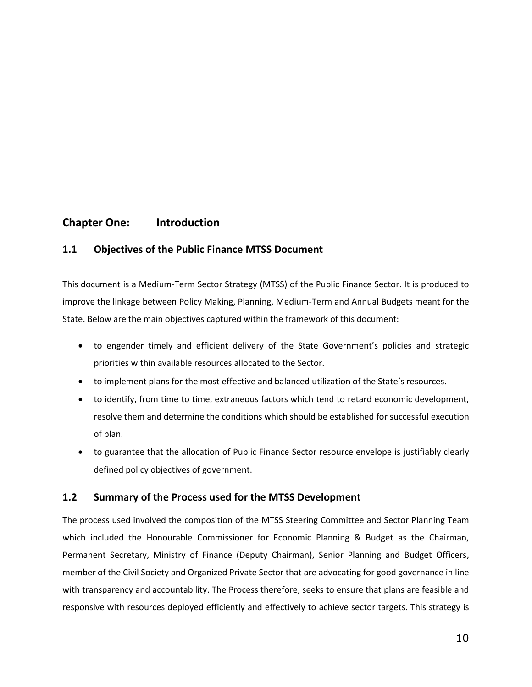### **Chapter One: Introduction**

#### <span id="page-9-0"></span>**1.1 Objectives of the Public Finance MTSS Document**

This document is a Medium-Term Sector Strategy (MTSS) of the Public Finance Sector. It is produced to improve the linkage between Policy Making, Planning, Medium-Term and Annual Budgets meant for the State. Below are the main objectives captured within the framework of this document:

- to engender timely and efficient delivery of the State Government's policies and strategic priorities within available resources allocated to the Sector.
- to implement plans for the most effective and balanced utilization of the State's resources.
- to identify, from time to time, extraneous factors which tend to retard economic development, resolve them and determine the conditions which should be established for successful execution of plan.
- to guarantee that the allocation of Public Finance Sector resource envelope is justifiably clearly defined policy objectives of government.

#### <span id="page-9-1"></span>**1.2 Summary of the Process used for the MTSS Development**

The process used involved the composition of the MTSS Steering Committee and Sector Planning Team which included the Honourable Commissioner for Economic Planning & Budget as the Chairman, Permanent Secretary, Ministry of Finance (Deputy Chairman), Senior Planning and Budget Officers, member of the Civil Society and Organized Private Sector that are advocating for good governance in line with transparency and accountability. The Process therefore, seeks to ensure that plans are feasible and responsive with resources deployed efficiently and effectively to achieve sector targets. This strategy is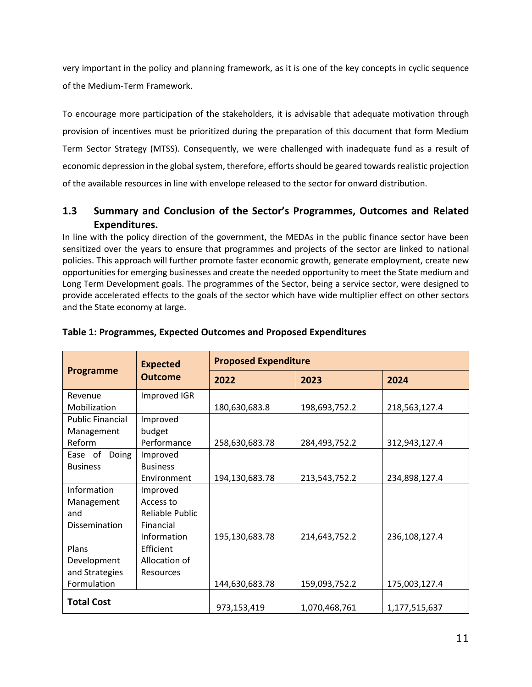very important in the policy and planning framework, as it is one of the key concepts in cyclic sequence of the Medium-Term Framework.

To encourage more participation of the stakeholders, it is advisable that adequate motivation through provision of incentives must be prioritized during the preparation of this document that form Medium Term Sector Strategy (MTSS). Consequently, we were challenged with inadequate fund as a result of economic depression in the global system, therefore, efforts should be geared towards realistic projection of the available resources in line with envelope released to the sector for onward distribution.

### <span id="page-10-0"></span>**1.3 Summary and Conclusion of the Sector's Programmes, Outcomes and Related Expenditures.**

In line with the policy direction of the government, the MEDAs in the public finance sector have been sensitized over the years to ensure that programmes and projects of the sector are linked to national policies. This approach will further promote faster economic growth, generate employment, create new opportunities for emerging businesses and create the needed opportunity to meet the State medium and Long Term Development goals. The programmes of the Sector, being a service sector, were designed to provide accelerated effects to the goals of the sector which have wide multiplier effect on other sectors and the State economy at large.

|                         | <b>Expected</b>  | <b>Proposed Expenditure</b> |               |               |  |
|-------------------------|------------------|-----------------------------|---------------|---------------|--|
| <b>Programme</b>        | <b>Outcome</b>   | 2022                        | 2023          | 2024          |  |
| Revenue                 | Improved IGR     |                             |               |               |  |
| Mobilization            |                  | 180,630,683.8               | 198,693,752.2 | 218,563,127.4 |  |
| <b>Public Financial</b> | Improved         |                             |               |               |  |
| Management              | budget           |                             |               |               |  |
| Reform                  | Performance      | 258,630,683.78              | 284,493,752.2 | 312,943,127.4 |  |
| Doing<br>Ease of        | Improved         |                             |               |               |  |
| <b>Business</b>         | <b>Business</b>  |                             |               |               |  |
|                         | Environment      | 194,130,683.78              | 213,543,752.2 | 234,898,127.4 |  |
| Information             | Improved         |                             |               |               |  |
| Management              | Access to        |                             |               |               |  |
| and                     | Reliable Public  |                             |               |               |  |
| Dissemination           | Financial        |                             |               |               |  |
|                         | Information      | 195,130,683.78              | 214,643,752.2 | 236,108,127.4 |  |
| Plans                   | Efficient        |                             |               |               |  |
| Development             | Allocation of    |                             |               |               |  |
| and Strategies          | <b>Resources</b> |                             |               |               |  |
| Formulation             |                  | 144,630,683.78              | 159,093,752.2 | 175,003,127.4 |  |
| <b>Total Cost</b>       |                  |                             |               |               |  |
|                         |                  | 973,153,419                 | 1,070,468,761 | 1,177,515,637 |  |

#### <span id="page-10-1"></span>**Table 1: Programmes, Expected Outcomes and Proposed Expenditures**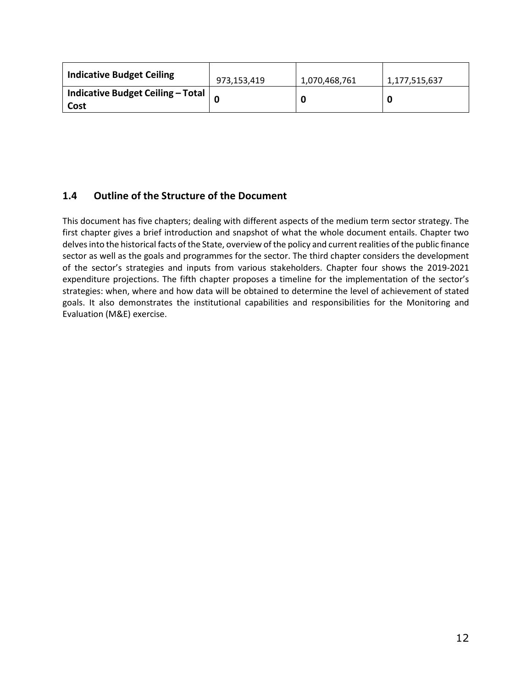| <b>Indicative Budget Ceiling</b>          | 973,153,419 | 1,070,468,761 | 1,177,515,637 |
|-------------------------------------------|-------------|---------------|---------------|
| Indicative Budget Ceiling - Total<br>Cost |             |               |               |

### <span id="page-11-0"></span>**1.4 Outline of the Structure of the Document**

This document has five chapters; dealing with different aspects of the medium term sector strategy. The first chapter gives a brief introduction and snapshot of what the whole document entails. Chapter two delves into the historical facts of the State, overview of the policy and current realities of the public finance sector as well as the goals and programmes for the sector. The third chapter considers the development of the sector's strategies and inputs from various stakeholders. Chapter four shows the 2019-2021 expenditure projections. The fifth chapter proposes a timeline for the implementation of the sector's strategies: when, where and how data will be obtained to determine the level of achievement of stated goals. It also demonstrates the institutional capabilities and responsibilities for the Monitoring and Evaluation (M&E) exercise.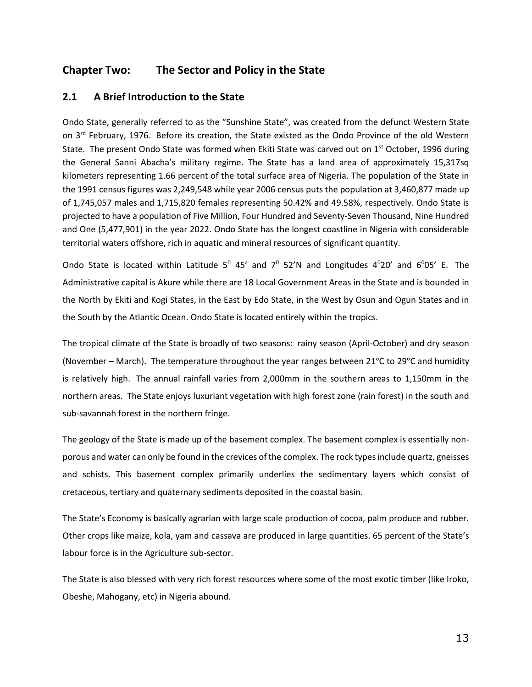### <span id="page-12-0"></span>**Chapter Two: The Sector and Policy in the State**

#### <span id="page-12-1"></span>**2.1 A Brief Introduction to the State**

Ondo State, generally referred to as the "Sunshine State", was created from the defunct Western State on 3<sup>rd</sup> February, 1976. Before its creation, the State existed as the Ondo Province of the old Western State. The present Ondo State was formed when Ekiti State was carved out on  $1<sup>st</sup>$  October, 1996 during the General Sanni Abacha's military regime. The State has a land area of approximately 15,317sq kilometers representing 1.66 percent of the total surface area of Nigeria. The population of the State in the 1991 census figures was 2,249,548 while year 2006 census puts the population at 3,460,877 made up of 1,745,057 males and 1,715,820 females representing 50.42% and 49.58%, respectively. Ondo State is projected to have a population of Five Million, Four Hundred and Seventy-Seven Thousand, Nine Hundred and One (5,477,901) in the year 2022. Ondo State has the longest coastline in Nigeria with considerable territorial waters offshore, rich in aquatic and mineral resources of significant quantity.

Ondo State is located within Latitude  $5^0$  45' and  $7^0$  52'N and Longitudes 4 $^0$ 20' and 6 $^0$ 05' E. The Administrative capital is Akure while there are 18 Local Government Areas in the State and is bounded in the North by Ekiti and Kogi States, in the East by Edo State, in the West by Osun and Ogun States and in the South by the Atlantic Ocean. Ondo State is located entirely within the tropics.

The tropical climate of the State is broadly of two seasons: rainy season (April-October) and dry season (November – March). The temperature throughout the year ranges between 21 $\degree$ C to 29 $\degree$ C and humidity is relatively high. The annual rainfall varies from 2,000mm in the southern areas to 1,150mm in the northern areas. The State enjoys luxuriant vegetation with high forest zone (rain forest) in the south and sub-savannah forest in the northern fringe.

The geology of the State is made up of the basement complex. The basement complex is essentially nonporous and water can only be found in the crevices of the complex. The rock types include quartz, gneisses and schists. This basement complex primarily underlies the sedimentary layers which consist of cretaceous, tertiary and quaternary sediments deposited in the coastal basin.

The State's Economy is basically agrarian with large scale production of cocoa, palm produce and rubber. Other crops like maize, kola, yam and cassava are produced in large quantities. 65 percent of the State's labour force is in the Agriculture sub-sector.

The State is also blessed with very rich forest resources where some of the most exotic timber (like Iroko, Obeshe, Mahogany, etc) in Nigeria abound.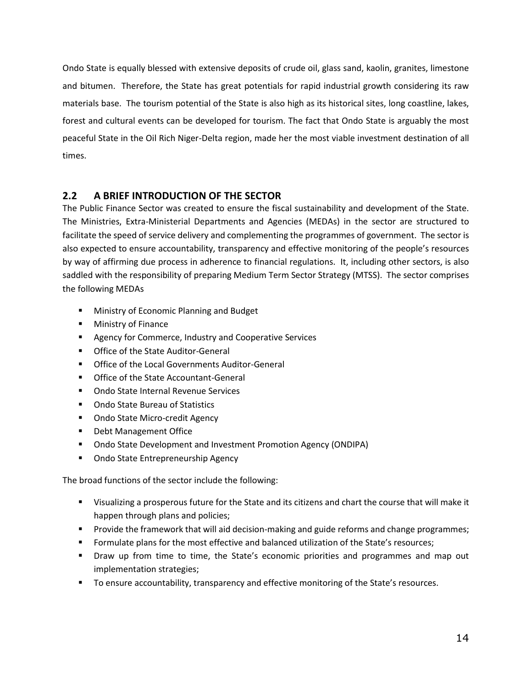Ondo State is equally blessed with extensive deposits of crude oil, glass sand, kaolin, granites, limestone and bitumen. Therefore, the State has great potentials for rapid industrial growth considering its raw materials base. The tourism potential of the State is also high as its historical sites, long coastline, lakes, forest and cultural events can be developed for tourism. The fact that Ondo State is arguably the most peaceful State in the Oil Rich Niger-Delta region, made her the most viable investment destination of all times.

### <span id="page-13-0"></span>**2.2 A BRIEF INTRODUCTION OF THE SECTOR**

The Public Finance Sector was created to ensure the fiscal sustainability and development of the State. The Ministries, Extra-Ministerial Departments and Agencies (MEDAs) in the sector are structured to facilitate the speed of service delivery and complementing the programmes of government. The sector is also expected to ensure accountability, transparency and effective monitoring of the people's resources by way of affirming due process in adherence to financial regulations. It, including other sectors, is also saddled with the responsibility of preparing Medium Term Sector Strategy (MTSS). The sector comprises the following MEDAs

- **Ministry of Economic Planning and Budget**
- **Ministry of Finance**
- **Agency for Commerce, Industry and Cooperative Services**
- **Office of the State Auditor-General**
- **The Office of the Local Governments Auditor-General**
- **Office of the State Accountant-General**
- **Ondo State Internal Revenue Services**
- Ondo State Bureau of Statistics
- **Ondo State Micro-credit Agency**
- **Debt Management Office**
- Ondo State Development and Investment Promotion Agency (ONDIPA)
- **Ondo State Entrepreneurship Agency**

The broad functions of the sector include the following:

- Visualizing a prosperous future for the State and its citizens and chart the course that will make it happen through plans and policies;
- **Provide the framework that will aid decision-making and guide reforms and change programmes;**
- **Formulate plans for the most effective and balanced utilization of the State's resources;**
- **Draw up from time to time, the State's economic priorities and programmes and map out** implementation strategies;
- **The Example 2** To ensure accountability, transparency and effective monitoring of the State's resources.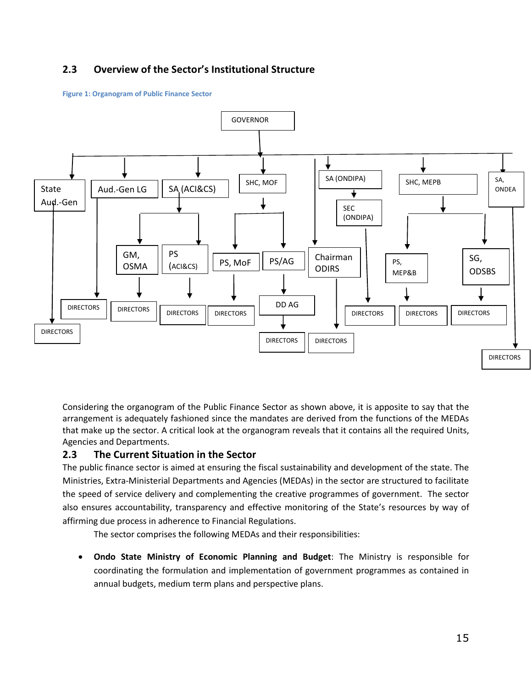### **2.3 Overview of the Sector's Institutional Structure**

#### **Figure 1: Organogram of Public Finance Sector**



Considering the organogram of the Public Finance Sector as shown above, it is apposite to say that the arrangement is adequately fashioned since the mandates are derived from the functions of the MEDAs that make up the sector. A critical look at the organogram reveals that it contains all the required Units, Agencies and Departments.

#### <span id="page-14-0"></span>**2.3 The Current Situation in the Sector**

The public finance sector is aimed at ensuring the fiscal sustainability and development of the state. The Ministries, Extra-Ministerial Departments and Agencies (MEDAs) in the sector are structured to facilitate the speed of service delivery and complementing the creative programmes of government. The sector also ensures accountability, transparency and effective monitoring of the State's resources by way of affirming due process in adherence to Financial Regulations.

The sector comprises the following MEDAs and their responsibilities:

 **Ondo State Ministry of Economic Planning and Budget**: The Ministry is responsible for coordinating the formulation and implementation of government programmes as contained in annual budgets, medium term plans and perspective plans.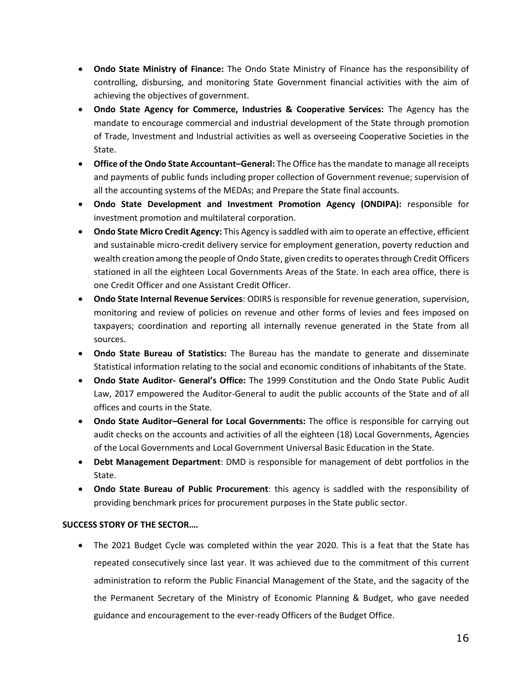- **Ondo State Ministry of Finance:** The Ondo State Ministry of Finance has the responsibility of controlling, disbursing, and monitoring State Government financial activities with the aim of achieving the objectives of government.
- **Ondo State Agency for Commerce, Industries & Cooperative Services:** The Agency has the mandate to encourage commercial and industrial development of the State through promotion of Trade, Investment and Industrial activities as well as overseeing Cooperative Societies in the State.
- **Office of the Ondo State Accountant–General:** The Office has the mandate to manage all receipts and payments of public funds including proper collection of Government revenue; supervision of all the accounting systems of the MEDAs; and Prepare the State final accounts.
- **Ondo State Development and Investment Promotion Agency (ONDIPA):** responsible for investment promotion and multilateral corporation.
- **Ondo State Micro Credit Agency:** This Agency is saddled with aim to operate an effective, efficient and sustainable micro-credit delivery service for employment generation, poverty reduction and wealth creation among the people of Ondo State, given credits to operates through Credit Officers stationed in all the eighteen Local Governments Areas of the State. In each area office, there is one Credit Officer and one Assistant Credit Officer.
- **Ondo State Internal Revenue Services**: ODIRS is responsible for revenue generation, supervision, monitoring and review of policies on revenue and other forms of levies and fees imposed on taxpayers; coordination and reporting all internally revenue generated in the State from all sources.
- **Ondo State Bureau of Statistics:** The Bureau has the mandate to generate and disseminate Statistical information relating to the social and economic conditions of inhabitants of the State.
- **Ondo State Auditor- General's Office:** The 1999 Constitution and the Ondo State Public Audit Law, 2017 empowered the Auditor-General to audit the public accounts of the State and of all offices and courts in the State.
- **Ondo State Auditor–General for Local Governments:** The office is responsible for carrying out audit checks on the accounts and activities of all the eighteen (18) Local Governments, Agencies of the Local Governments and Local Government Universal Basic Education in the State.
- **Debt Management Department**: DMD is responsible for management of debt portfolios in the State.
- **Ondo State Bureau of Public Procurement**: this agency is saddled with the responsibility of providing benchmark prices for procurement purposes in the State public sector.

#### **SUCCESS STORY OF THE SECTOR….**

 The 2021 Budget Cycle was completed within the year 2020. This is a feat that the State has repeated consecutively since last year. It was achieved due to the commitment of this current administration to reform the Public Financial Management of the State, and the sagacity of the the Permanent Secretary of the Ministry of Economic Planning & Budget, who gave needed guidance and encouragement to the ever-ready Officers of the Budget Office.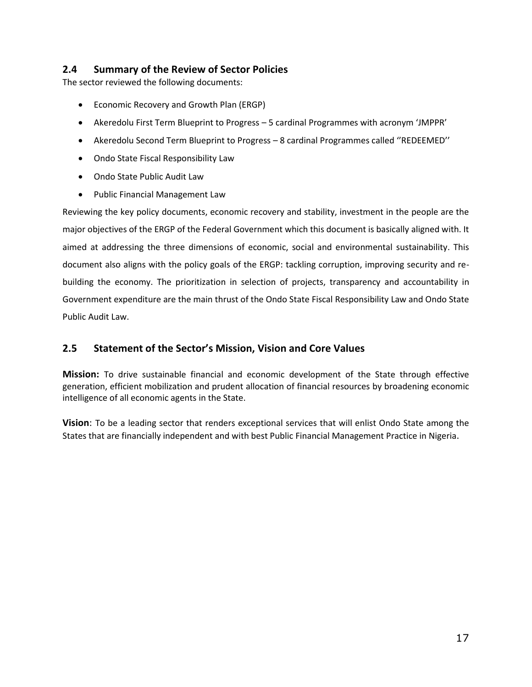#### <span id="page-16-0"></span>**2.4 Summary of the Review of Sector Policies**

The sector reviewed the following documents:

- Economic Recovery and Growth Plan (ERGP)
- Akeredolu First Term Blueprint to Progress 5 cardinal Programmes with acronym 'JMPPR'
- Akeredolu Second Term Blueprint to Progress 8 cardinal Programmes called ''REDEEMED''
- Ondo State Fiscal Responsibility Law
- Ondo State Public Audit Law
- Public Financial Management Law

Reviewing the key policy documents, economic recovery and stability, investment in the people are the major objectives of the ERGP of the Federal Government which this document is basically aligned with. It aimed at addressing the three dimensions of economic, social and environmental sustainability. This document also aligns with the policy goals of the ERGP: tackling corruption, improving security and rebuilding the economy. The prioritization in selection of projects, transparency and accountability in Government expenditure are the main thrust of the Ondo State Fiscal Responsibility Law and Ondo State Public Audit Law.

### <span id="page-16-1"></span>**2.5 Statement of the Sector's Mission, Vision and Core Values**

**Mission:** To drive sustainable financial and economic development of the State through effective generation, efficient mobilization and prudent allocation of financial resources by broadening economic intelligence of all economic agents in the State.

**Vision**: To be a leading sector that renders exceptional services that will enlist Ondo State among the States that are financially independent and with best Public Financial Management Practice in Nigeria.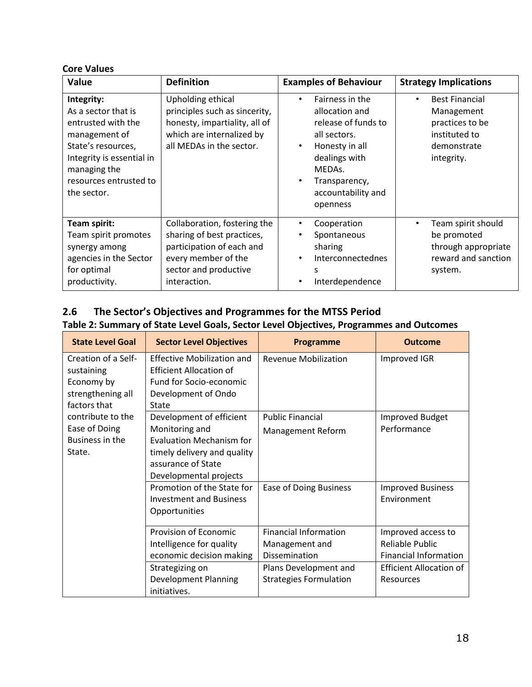#### **Core Values**

| Value                                                                                                                                                                                | <b>Definition</b>                                                                                                                                       | <b>Examples of Behaviour</b>                                                                                                                                                               | <b>Strategy Implications</b>                                                                                      |
|--------------------------------------------------------------------------------------------------------------------------------------------------------------------------------------|---------------------------------------------------------------------------------------------------------------------------------------------------------|--------------------------------------------------------------------------------------------------------------------------------------------------------------------------------------------|-------------------------------------------------------------------------------------------------------------------|
| Integrity:<br>As a sector that is<br>entrusted with the<br>management of<br>State's resources,<br>Integrity is essential in<br>managing the<br>resources entrusted to<br>the sector. | Upholding ethical<br>principles such as sincerity,<br>honesty, impartiality, all of<br>which are internalized by<br>all MEDAs in the sector.            | Fairness in the<br>٠<br>allocation and<br>release of funds to<br>all sectors.<br>Honesty in all<br>$\bullet$<br>dealings with<br>MEDAs.<br>Transparency,<br>accountability and<br>openness | <b>Best Financial</b><br>$\bullet$<br>Management<br>practices to be<br>instituted to<br>demonstrate<br>integrity. |
| Team spirit:<br>Team spirit promotes<br>synergy among<br>agencies in the Sector<br>for optimal<br>productivity.                                                                      | Collaboration, fostering the<br>sharing of best practices,<br>participation of each and<br>every member of the<br>sector and productive<br>interaction. | Cooperation<br>$\bullet$<br>Spontaneous<br>٠<br>sharing<br>Interconnectednes<br>$\bullet$<br>S<br>Interdependence<br>٠                                                                     | Team spirit should<br>$\bullet$<br>be promoted<br>through appropriate<br>reward and sanction<br>system.           |

### <span id="page-17-1"></span><span id="page-17-0"></span>**2.6 The Sector's Objectives and Programmes for the MTSS Period Table 2: Summary of State Level Goals, Sector Level Objectives, Programmes and Outcomes**

<span id="page-17-2"></span>

| <b>State Level Goal</b> | <b>Sector Level Objectives</b>    | <b>Programme</b>              | <b>Outcome</b>                 |
|-------------------------|-----------------------------------|-------------------------------|--------------------------------|
| Creation of a Self-     | <b>Effective Mobilization and</b> | <b>Revenue Mobilization</b>   | Improved IGR                   |
| sustaining              | <b>Efficient Allocation of</b>    |                               |                                |
| Economy by              | Fund for Socio-economic           |                               |                                |
| strengthening all       | Development of Ondo               |                               |                                |
| factors that            | State                             |                               |                                |
| contribute to the       | Development of efficient          | <b>Public Financial</b>       | Improved Budget                |
| Ease of Doing           | Monitoring and                    | <b>Management Reform</b>      | Performance                    |
| Business in the         | <b>Evaluation Mechanism for</b>   |                               |                                |
| State.                  | timely delivery and quality       |                               |                                |
|                         | assurance of State                |                               |                                |
|                         | Developmental projects            |                               |                                |
|                         | Promotion of the State for        | Ease of Doing Business        | <b>Improved Business</b>       |
|                         | <b>Investment and Business</b>    |                               | Environment                    |
|                         | Opportunities                     |                               |                                |
|                         | Provision of Economic             | <b>Financial Information</b>  | Improved access to             |
|                         | Intelligence for quality          | Management and                | Reliable Public                |
|                         | economic decision making          | Dissemination                 | <b>Financial Information</b>   |
|                         | Strategizing on                   | Plans Development and         | <b>Efficient Allocation of</b> |
|                         | <b>Development Planning</b>       | <b>Strategies Formulation</b> | Resources                      |
|                         | initiatives.                      |                               |                                |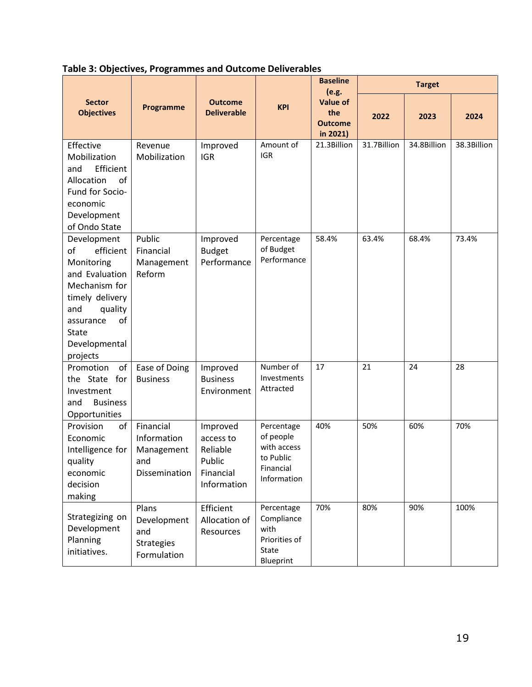|                                                                                                                                                                                      |                                                                 |                                                                         |                                                                                 | <b>Baseline</b><br>(e.g.                             | <b>Target</b> |             |             |
|--------------------------------------------------------------------------------------------------------------------------------------------------------------------------------------|-----------------------------------------------------------------|-------------------------------------------------------------------------|---------------------------------------------------------------------------------|------------------------------------------------------|---------------|-------------|-------------|
| <b>Sector</b><br><b>Objectives</b>                                                                                                                                                   | Programme                                                       | <b>Outcome</b><br><b>Deliverable</b>                                    | <b>KPI</b>                                                                      | <b>Value of</b><br>the<br><b>Outcome</b><br>in 2021) | 2022          | 2023        | 2024        |
| Effective<br>Mobilization<br>Efficient<br>and<br>of<br>Allocation<br>Fund for Socio-<br>economic<br>Development<br>of Ondo State                                                     | Revenue<br>Mobilization                                         | Improved<br><b>IGR</b>                                                  | Amount of<br><b>IGR</b>                                                         | 21.3Billion                                          | 31.7Billion   | 34.8Billion | 38.3Billion |
| Development<br>of<br>efficient<br>Monitoring<br>and Evaluation<br>Mechanism for<br>timely delivery<br>and<br>quality<br>of<br>assurance<br><b>State</b><br>Developmental<br>projects | Public<br>Financial<br>Management<br>Reform                     | Improved<br><b>Budget</b><br>Performance                                | Percentage<br>of Budget<br>Performance                                          | 58.4%                                                | 63.4%         | 68.4%       | 73.4%       |
| Promotion<br>of<br>the State for<br>Investment<br>and<br><b>Business</b><br>Opportunities                                                                                            | Ease of Doing<br><b>Business</b>                                | Improved<br><b>Business</b><br>Environment                              | Number of<br>Investments<br>Attracted                                           | 17                                                   | 21            | 24          | 28          |
| of<br>Provision<br>Economic<br>Intelligence for<br>quality<br>economic<br>decision<br>making                                                                                         | Financial<br>Information<br>Management<br>and<br>Dissemination  | Improved<br>access to<br>Reliable<br>Public<br>Financial<br>Information | Percentage<br>of people<br>with access<br>to Public<br>Financial<br>Information | 40%                                                  | 50%           | 60%         | 70%         |
| Strategizing on<br>Development<br>Planning<br>initiatives.                                                                                                                           | Plans<br>Development<br>and<br><b>Strategies</b><br>Formulation | Efficient<br>Allocation of<br>Resources                                 | Percentage<br>Compliance<br>with<br>Priorities of<br>State<br>Blueprint         | 70%                                                  | 80%           | 90%         | 100%        |

**Table 3: Objectives, Programmes and Outcome Deliverables**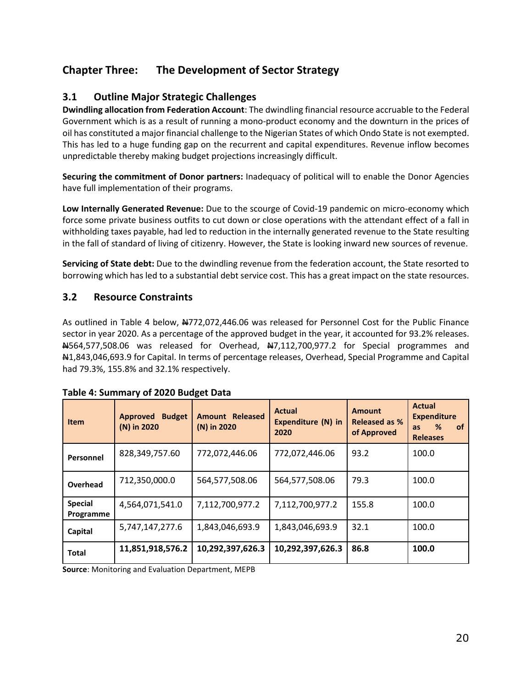### <span id="page-19-0"></span>**Chapter Three: The Development of Sector Strategy**

### <span id="page-19-1"></span>**3.1 Outline Major Strategic Challenges**

**Dwindling allocation from Federation Account**: The dwindling financial resource accruable to the Federal Government which is as a result of running a mono-product economy and the downturn in the prices of oil has constituted a major financial challenge to the Nigerian States of which Ondo State is not exempted. This has led to a huge funding gap on the recurrent and capital expenditures. Revenue inflow becomes unpredictable thereby making budget projections increasingly difficult.

**Securing the commitment of Donor partners:** Inadequacy of political will to enable the Donor Agencies have full implementation of their programs.

**Low Internally Generated Revenue:** Due to the scourge of Covid-19 pandemic on micro-economy which force some private business outfits to cut down or close operations with the attendant effect of a fall in withholding taxes payable, had led to reduction in the internally generated revenue to the State resulting in the fall of standard of living of citizenry. However, the State is looking inward new sources of revenue.

**Servicing of State debt:** Due to the dwindling revenue from the federation account, the State resorted to borrowing which has led to a substantial debt service cost. This has a great impact on the state resources.

#### <span id="page-19-2"></span>**3.2 Resource Constraints**

As outlined in Table 4 below, N772,072,446.06 was released for Personnel Cost for the Public Finance sector in year 2020. As a percentage of the approved budget in the year, it accounted for 93.2% releases.  $A564,577,508.06$  was released for Overhead,  $A7,112,700,977.2$  for Special programmes and N1,843,046,693.9 for Capital. In terms of percentage releases, Overhead, Special Programme and Capital had 79.3%, 155.8% and 32.1% respectively.

| Item                        | <b>Budget</b><br>Approved<br>(N) in 2020 | <b>Amount Released</b><br>(N) in 2020 | <b>Actual</b><br>Expenditure (N) in<br>2020 | <b>Amount</b><br><b>Released as %</b><br>of Approved | <b>Actual</b><br><b>Expenditure</b><br><b>of</b><br>%<br><b>as</b><br><b>Releases</b> |
|-----------------------------|------------------------------------------|---------------------------------------|---------------------------------------------|------------------------------------------------------|---------------------------------------------------------------------------------------|
| Personnel                   | 828,349,757.60                           | 772,072,446.06                        | 772,072,446.06                              | 93.2                                                 | 100.0                                                                                 |
| Overhead                    | 712,350,000.0                            | 564,577,508.06                        | 564,577,508.06                              | 79.3                                                 | 100.0                                                                                 |
| <b>Special</b><br>Programme | 4,564,071,541.0                          | 7,112,700,977.2                       | 7,112,700,977.2                             | 155.8                                                | 100.0                                                                                 |
| Capital                     | 5,747,147,277.6                          | 1,843,046,693.9                       | 1,843,046,693.9                             | 32.1                                                 | 100.0                                                                                 |
| <b>Total</b>                | 11,851,918,576.2                         | 10,292,397,626.3                      | 10,292,397,626.3                            | 86.8                                                 | 100.0                                                                                 |

#### <span id="page-19-3"></span>**Table 4: Summary of 2020 Budget Data**

<span id="page-19-4"></span>**Source**: Monitoring and Evaluation Department, MEPB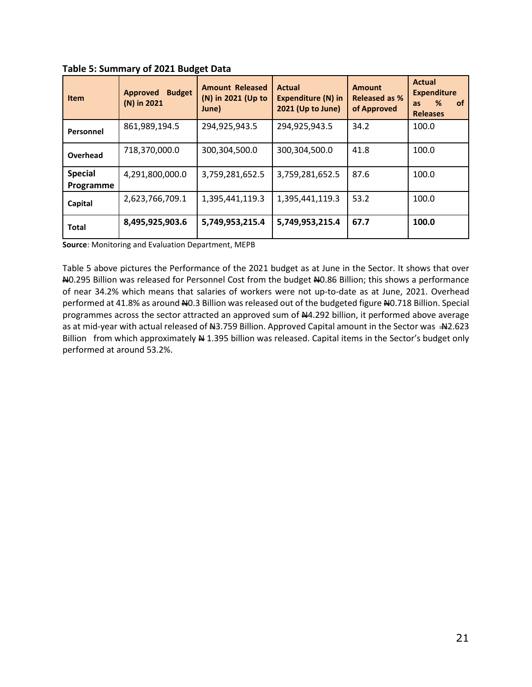| <b>Item</b>                 | <b>Budget</b><br><b>Approved</b><br>(N) in 2021 | <b>Amount Released</b><br>(N) in 2021 (Up to<br>June) | Actual<br><b>Expenditure (N) in</b><br>2021 (Up to June) | <b>Amount</b><br><b>Released as %</b><br>of Approved | <b>Actual</b><br><b>Expenditure</b><br>%<br><b>of</b><br><b>as</b><br><b>Releases</b> |
|-----------------------------|-------------------------------------------------|-------------------------------------------------------|----------------------------------------------------------|------------------------------------------------------|---------------------------------------------------------------------------------------|
| Personnel                   | 861,989,194.5                                   | 294,925,943.5                                         | 294,925,943.5                                            | 34.2                                                 | 100.0                                                                                 |
| Overhead                    | 718,370,000.0                                   | 300,304,500.0                                         | 300,304,500.0                                            | 41.8                                                 | 100.0                                                                                 |
| <b>Special</b><br>Programme | 4,291,800,000.0                                 | 3,759,281,652.5                                       | 3,759,281,652.5                                          | 87.6                                                 | 100.0                                                                                 |
| Capital                     | 2,623,766,709.1                                 | 1,395,441,119.3                                       | 1,395,441,119.3                                          | 53.2                                                 | 100.0                                                                                 |
| <b>Total</b>                | 8,495,925,903.6                                 | 5,749,953,215.4                                       | 5,749,953,215.4                                          | 67.7                                                 | 100.0                                                                                 |

**Table 5: Summary of 2021 Budget Data**

**Source**: Monitoring and Evaluation Department, MEPB

Table 5 above pictures the Performance of the 2021 budget as at June in the Sector. It shows that over N0.295 Billion was released for Personnel Cost from the budget N0.86 Billion; this shows a performance of near 34.2% which means that salaries of workers were not up-to-date as at June, 2021. Overhead performed at 41.8% as around NO.3 Billion was released out of the budgeted figure NO.718 Billion. Special programmes across the sector attracted an approved sum of #4.292 billion, it performed above average as at mid-year with actual released of  $\mu$ 3.759 Billion. Approved Capital amount in the Sector was  $\mu$ 2.623 Billion from which approximately  $\frac{M}{N}$  1.395 billion was released. Capital items in the Sector's budget only performed at around 53.2%.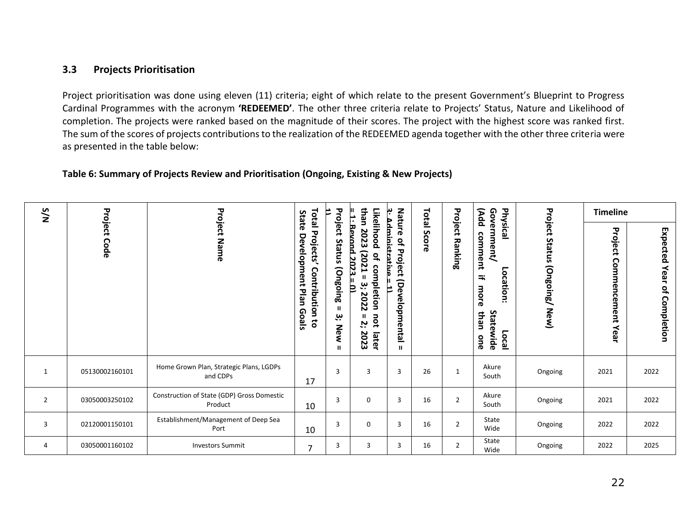#### **3.3 Projects Prioritisation**

Project prioritisation was done using eleven (11) criteria; eight of which relate to the present Government's Blueprint to Progress Cardinal Programmes with the acronym **'REDEEMED'**. The other three criteria relate to Projects' Status, Nature and Likelihood of completion. The projects were ranked based on the magnitude of their scores. The project with the highest score was ranked first. The sum of the scores of projects contributions to the realization of the REDEEMED agenda together with the other three criteria were as presented in the table below:

#### **Table 6: Summary of Projects Review and Prioritisation (Ongoing, Existing & New Projects)**

<span id="page-21-2"></span><span id="page-21-1"></span><span id="page-21-0"></span>

|                | N/S<br>Project |                                                       | State                                                                                   |                                                   | than<br>H.                                                                                                                                      |                                                                                                         |             |                    | (Add                                                                                              |                              | <b>Timeline</b>                 |                                                           |
|----------------|----------------|-------------------------------------------------------|-----------------------------------------------------------------------------------------|---------------------------------------------------|-------------------------------------------------------------------------------------------------------------------------------------------------|---------------------------------------------------------------------------------------------------------|-------------|--------------------|---------------------------------------------------------------------------------------------------|------------------------------|---------------------------------|-----------------------------------------------------------|
|                | Code           | <b>Project Name</b>                                   | <b>Total Projects'</b><br><b>Development</b><br>Contribution to<br>Plan<br><b>Goals</b> | Project<br>Status<br>(Ongoing<br>بب<br><b>New</b> | Likelihood<br><b>Bevond 2023</b><br>2023<br>[202]<br>$\overline{a}$<br>8<br>З<br>ۑ<br><b>pletion</b><br>Þ<br>2022<br>not<br>5.<br>2023<br>later | Nature<br><u>Administrative</u><br>$\overline{\mathbf{d}}$<br>Project<br>(Developmental<br>$\mathbf{u}$ | Total Score | Project<br>Ranking | Physical<br>Government/<br>comment<br>Location:<br>⇉<br>more<br>Statewide<br>than<br>Local<br>one | Project Status (Ongoing/New) | Project<br>Commencement<br>Year | Expected<br>Year<br>$\mathbf{Q}_\mathrm{r}$<br>Completion |
| 1              | 05130002160101 | Home Grown Plan, Strategic Plans, LGDPs<br>and CDPs   | 17                                                                                      | 3                                                 | 3                                                                                                                                               | 3                                                                                                       | 26          | 1                  | Akure<br>South                                                                                    | Ongoing                      | 2021                            | 2022                                                      |
| $\overline{2}$ | 03050003250102 | Construction of State (GDP) Gross Domestic<br>Product | 10                                                                                      | $\overline{3}$                                    | $\mathbf 0$                                                                                                                                     | $\overline{3}$                                                                                          | 16          | $\overline{2}$     | Akure<br>South                                                                                    | Ongoing                      | 2021                            | 2022                                                      |
| 3              | 02120001150101 | Establishment/Management of Deep Sea<br>Port          | 10                                                                                      | 3                                                 | 0                                                                                                                                               | 3                                                                                                       | 16          | $\overline{2}$     | State<br>Wide                                                                                     | Ongoing                      | 2022                            | 2022                                                      |
| 4              | 03050001160102 | <b>Investors Summit</b>                               | $\overline{7}$                                                                          | 3                                                 | 3                                                                                                                                               | 3                                                                                                       | 16          | $\overline{2}$     | State<br>Wide                                                                                     | Ongoing                      | 2022                            | 2025                                                      |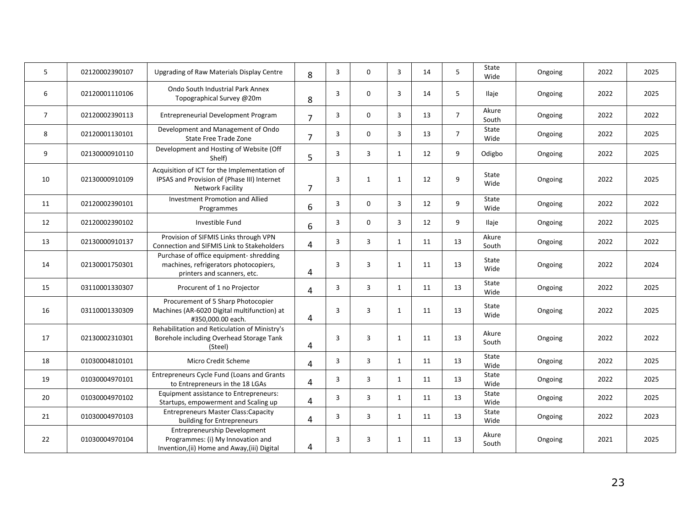| 5              | 02120002390107 | Upgrading of Raw Materials Display Centre                                                                                | 8              | 3 | 0              | 3            | 14 | 5              | State<br>Wide  | Ongoing | 2022 | 2025 |
|----------------|----------------|--------------------------------------------------------------------------------------------------------------------------|----------------|---|----------------|--------------|----|----------------|----------------|---------|------|------|
| 6              | 02120001110106 | Ondo South Industrial Park Annex<br>Topographical Survey @20m                                                            | 8              | 3 | 0              | 3            | 14 | 5              | Ilaje          | Ongoing | 2022 | 2025 |
| $\overline{7}$ | 02120002390113 | Entrepreneurial Development Program                                                                                      | $\overline{7}$ | 3 | $\mathbf 0$    | 3            | 13 | $\overline{7}$ | Akure<br>South | Ongoing | 2022 | 2022 |
| 8              | 02120001130101 | Development and Management of Ondo<br>State Free Trade Zone                                                              | 7              | 3 | $\mathbf 0$    | 3            | 13 | $\overline{7}$ | State<br>Wide  | Ongoing | 2022 | 2025 |
| 9              | 02130000910110 | Development and Hosting of Website (Off<br>Shelf)                                                                        | 5              | 3 | 3              | 1            | 12 | 9              | Odigbo         | Ongoing | 2022 | 2025 |
| 10             | 02130000910109 | Acquisition of ICT for the Implementation of<br>IPSAS and Provision of (Phase III) Internet<br>Network Facility          | 7              | 3 | $\mathbf{1}$   | 1            | 12 | 9              | State<br>Wide  | Ongoing | 2022 | 2025 |
| 11             | 02120002390101 | Investment Promotion and Allied<br>Programmes                                                                            | 6              | 3 | $\mathbf 0$    | 3            | 12 | 9              | State<br>Wide  | Ongoing | 2022 | 2022 |
| 12             | 02120002390102 | Investible Fund                                                                                                          | 6              | 3 | 0              | 3            | 12 | 9              | Ilaje          | Ongoing | 2022 | 2025 |
| 13             | 02130000910137 | Provision of SIFMIS Links through VPN<br>Connection and SIFMIS Link to Stakeholders                                      | 4              | 3 | 3              | 1            | 11 | 13             | Akure<br>South | Ongoing | 2022 | 2022 |
| 14             | 02130001750301 | Purchase of office equipment-shredding<br>machines, refrigerators photocopiers,<br>printers and scanners, etc.           | 4              | 3 | 3              | $\mathbf{1}$ | 11 | 13             | State<br>Wide  | Ongoing | 2022 | 2024 |
| 15             | 03110001330307 | Procurent of 1 no Projector                                                                                              | 4              | 3 | $\overline{3}$ | 1            | 11 | 13             | State<br>Wide  | Ongoing | 2022 | 2025 |
| 16             | 03110001330309 | Procurement of 5 Sharp Photocopier<br>Machines (AR-6020 Digital multifunction) at<br>#350.000.00 each.                   | 4              | 3 | 3              | 1            | 11 | 13             | State<br>Wide  | Ongoing | 2022 | 2025 |
| 17             | 02130002310301 | Rehabilitation and Reticulation of Ministry's<br>Borehole including Overhead Storage Tank<br>(Steel)                     | 4              | 3 | $\overline{3}$ | $\mathbf{1}$ | 11 | 13             | Akure<br>South | Ongoing | 2022 | 2022 |
| 18             | 01030004810101 | Micro Credit Scheme                                                                                                      | 4              | 3 | 3              | 1            | 11 | 13             | State<br>Wide  | Ongoing | 2022 | 2025 |
| 19             | 01030004970101 | Entrepreneurs Cycle Fund (Loans and Grants<br>to Entrepreneurs in the 18 LGAs                                            | 4              | 3 | $\overline{3}$ | 1            | 11 | 13             | State<br>Wide  | Ongoing | 2022 | 2025 |
| 20             | 01030004970102 | Equipment assistance to Entrepreneurs:<br>Startups, empowerment and Scaling up                                           | 4              | 3 | 3              | $\mathbf{1}$ | 11 | 13             | State<br>Wide  | Ongoing | 2022 | 2025 |
| 21             | 01030004970103 | <b>Entrepreneurs Master Class: Capacity</b><br>building for Entrepreneurs                                                | 4              | 3 | $\overline{3}$ | 1            | 11 | 13             | State<br>Wide  | Ongoing | 2022 | 2023 |
| 22             | 01030004970104 | <b>Entrepreneurship Development</b><br>Programmes: (i) My Innovation and<br>Invention, (ii) Home and Away, (iii) Digital | 4              | 3 | 3              | 1            | 11 | 13             | Akure<br>South | Ongoing | 2021 | 2025 |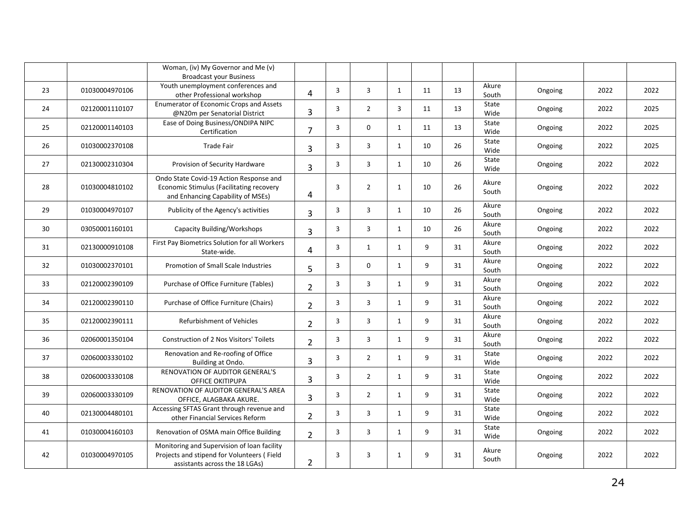|    |                | Woman, (iv) My Governor and Me (v)<br><b>Broadcast your Business</b>                                                        |                |                |                |              |    |    |                |         |      |      |
|----|----------------|-----------------------------------------------------------------------------------------------------------------------------|----------------|----------------|----------------|--------------|----|----|----------------|---------|------|------|
| 23 | 01030004970106 | Youth unemployment conferences and<br>other Professional workshop                                                           | $\overline{4}$ | $\overline{3}$ | $\overline{3}$ | $\mathbf{1}$ | 11 | 13 | Akure<br>South | Ongoing | 2022 | 2022 |
| 24 | 02120001110107 | Enumerator of Economic Crops and Assets<br>@N20m per Senatorial District                                                    | 3              | 3              | $\overline{2}$ | 3            | 11 | 13 | State<br>Wide  | Ongoing | 2022 | 2025 |
| 25 | 02120001140103 | Ease of Doing Business/ONDIPA NIPC<br>Certification                                                                         | 7              | 3              | $\mathbf 0$    | $\mathbf{1}$ | 11 | 13 | State<br>Wide  | Ongoing | 2022 | 2025 |
| 26 | 01030002370108 | <b>Trade Fair</b>                                                                                                           | 3              | 3              | 3              | $\mathbf{1}$ | 10 | 26 | State<br>Wide  | Ongoing | 2022 | 2025 |
| 27 | 02130002310304 | Provision of Security Hardware                                                                                              | 3              | 3              | $\overline{3}$ | $\mathbf{1}$ | 10 | 26 | State<br>Wide  | Ongoing | 2022 | 2022 |
| 28 | 01030004810102 | Ondo State Covid-19 Action Response and<br>Economic Stimulus (Facilitating recovery<br>and Enhancing Capability of MSEs)    | 4              | $\overline{3}$ | $\overline{2}$ | 1            | 10 | 26 | Akure<br>South | Ongoing | 2022 | 2022 |
| 29 | 01030004970107 | Publicity of the Agency's activities                                                                                        | 3              | 3              | 3              | 1            | 10 | 26 | Akure<br>South | Ongoing | 2022 | 2022 |
| 30 | 03050001160101 | <b>Capacity Building/Workshops</b>                                                                                          | 3              | 3              | $\overline{3}$ | $\mathbf{1}$ | 10 | 26 | Akure<br>South | Ongoing | 2022 | 2022 |
| 31 | 02130000910108 | First Pay Biometrics Solution for all Workers<br>State-wide.                                                                | 4              | 3              | 1              | 1            | 9  | 31 | Akure<br>South | Ongoing | 2022 | 2022 |
| 32 | 01030002370101 | Promotion of Small Scale Industries                                                                                         | 5              | 3              | $\mathbf 0$    | $\mathbf{1}$ | 9  | 31 | Akure<br>South | Ongoing | 2022 | 2022 |
| 33 | 02120002390109 | Purchase of Office Furniture (Tables)                                                                                       | $\overline{2}$ | 3              | 3              | $\mathbf{1}$ | 9  | 31 | Akure<br>South | Ongoing | 2022 | 2022 |
| 34 | 02120002390110 | Purchase of Office Furniture (Chairs)                                                                                       | $\overline{2}$ | 3              | 3              | $\mathbf{1}$ | 9  | 31 | Akure<br>South | Ongoing | 2022 | 2022 |
| 35 | 02120002390111 | Refurbishment of Vehicles                                                                                                   | $\overline{2}$ | 3              | $\overline{3}$ | $\mathbf{1}$ | 9  | 31 | Akure<br>South | Ongoing | 2022 | 2022 |
| 36 | 02060001350104 | <b>Construction of 2 Nos Visitors' Toilets</b>                                                                              | $\overline{2}$ | 3              | 3              | 1            | 9  | 31 | Akure<br>South | Ongoing | 2022 | 2022 |
| 37 | 02060003330102 | Renovation and Re-roofing of Office<br>Building at Ondo.                                                                    | 3              | 3              | $\overline{2}$ | $\mathbf{1}$ | 9  | 31 | State<br>Wide  | Ongoing | 2022 | 2022 |
| 38 | 02060003330108 | RENOVATION OF AUDITOR GENERAL'S<br><b>OFFICE OKITIPUPA</b>                                                                  | 3              | 3              | $\overline{2}$ | $\mathbf{1}$ | 9  | 31 | State<br>Wide  | Ongoing | 2022 | 2022 |
| 39 | 02060003330109 | RENOVATION OF AUDITOR GENERAL'S AREA<br>OFFICE, ALAGBAKA AKURE.                                                             | 3              | 3              | $\overline{2}$ | 1            | 9  | 31 | State<br>Wide  | Ongoing | 2022 | 2022 |
| 40 | 02130004480101 | Accessing SFTAS Grant through revenue and<br>other Financial Services Reform                                                | 2              | 3              | $\overline{3}$ | $\mathbf{1}$ | 9  | 31 | State<br>Wide  | Ongoing | 2022 | 2022 |
| 41 | 01030004160103 | Renovation of OSMA main Office Building                                                                                     | $\overline{2}$ | 3              | 3              | 1            | 9  | 31 | State<br>Wide  | Ongoing | 2022 | 2022 |
| 42 | 01030004970105 | Monitoring and Supervision of loan facility<br>Projects and stipend for Volunteers (Field<br>assistants across the 18 LGAs) | $\overline{2}$ | 3              | 3              | $\mathbf{1}$ | 9  | 31 | Akure<br>South | Ongoing | 2022 | 2022 |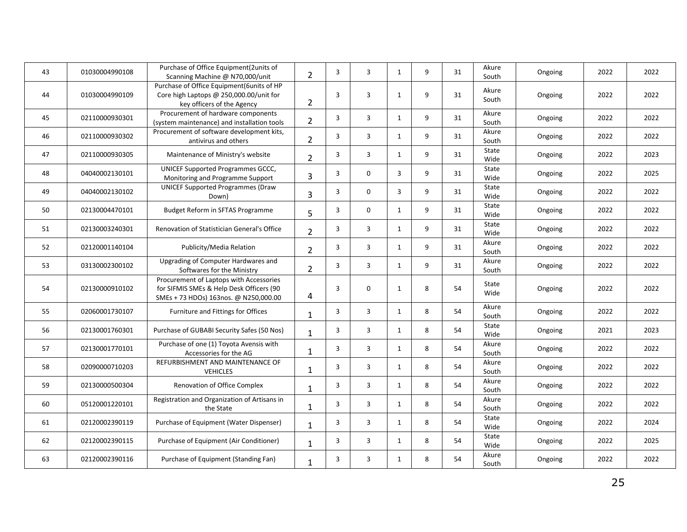| 43 | 01030004990108 | Purchase of Office Equipment(2units of<br>Scanning Machine @ N70,000/unit                                                    | $\overline{2}$ | 3              | 3 | 1            | 9 | 31 | Akure<br>South | Ongoing | 2022 | 2022 |
|----|----------------|------------------------------------------------------------------------------------------------------------------------------|----------------|----------------|---|--------------|---|----|----------------|---------|------|------|
| 44 | 01030004990109 | Purchase of Office Equipment(6units of HP<br>Core high Laptops @ 250,000.00/unit for<br>key officers of the Agency           | 2              | 3              | 3 | 1            | 9 | 31 | Akure<br>South | Ongoing | 2022 | 2022 |
| 45 | 02110000930301 | Procurement of hardware components<br>(system maintenance) and installation tools                                            | $\overline{2}$ | 3              | 3 | $\mathbf{1}$ | 9 | 31 | Akure<br>South | Ongoing | 2022 | 2022 |
| 46 | 02110000930302 | Procurement of software development kits,<br>antivirus and others                                                            | $\overline{2}$ | 3              | 3 | $\mathbf{1}$ | 9 | 31 | Akure<br>South | Ongoing | 2022 | 2022 |
| 47 | 02110000930305 | Maintenance of Ministry's website                                                                                            | $\overline{2}$ | 3              | 3 | 1            | 9 | 31 | State<br>Wide  | Ongoing | 2022 | 2023 |
| 48 | 04040002130101 | UNICEF Supported Programmes GCCC,<br>Monitoring and Programme Support                                                        | 3              | 3              | 0 | 3            | 9 | 31 | State<br>Wide  | Ongoing | 2022 | 2025 |
| 49 | 04040002130102 | <b>UNICEF Supported Programmes (Draw</b><br>Down)                                                                            | 3              | 3              | 0 | 3            | 9 | 31 | State<br>Wide  | Ongoing | 2022 | 2022 |
| 50 | 02130004470101 | Budget Reform in SFTAS Programme                                                                                             | 5              | 3              | 0 | $\mathbf{1}$ | 9 | 31 | State<br>Wide  | Ongoing | 2022 | 2022 |
| 51 | 02130003240301 | Renovation of Statistician General's Office                                                                                  | $\overline{2}$ | 3              | 3 | $\mathbf{1}$ | 9 | 31 | State<br>Wide  | Ongoing | 2022 | 2022 |
| 52 | 02120001140104 | Publicity/Media Relation                                                                                                     | $\overline{2}$ | 3              | 3 | $\mathbf{1}$ | 9 | 31 | Akure<br>South | Ongoing | 2022 | 2022 |
| 53 | 03130002300102 | Upgrading of Computer Hardwares and<br>Softwares for the Ministry                                                            | $\overline{2}$ | 3              | 3 | $\mathbf{1}$ | 9 | 31 | Akure<br>South | Ongoing | 2022 | 2022 |
| 54 | 02130000910102 | Procurement of Laptops with Accessories<br>for SIFMIS SMEs & Help Desk Officers (90<br>SMEs + 73 HDOs) 163nos. @ N250,000.00 | 4              | $\overline{3}$ | 0 | $\mathbf{1}$ | 8 | 54 | State<br>Wide  | Ongoing | 2022 | 2022 |
| 55 | 02060001730107 | Furniture and Fittings for Offices                                                                                           | 1              | 3              | 3 | $\mathbf{1}$ | 8 | 54 | Akure<br>South | Ongoing | 2022 | 2022 |
| 56 | 02130001760301 | Purchase of GUBABI Security Safes (50 Nos)                                                                                   | 1              | 3              | 3 | $\mathbf{1}$ | 8 | 54 | State<br>Wide  | Ongoing | 2021 | 2023 |
| 57 | 02130001770101 | Purchase of one (1) Toyota Avensis with<br>Accessories for the AG                                                            | 1              | 3              | 3 | $\mathbf{1}$ | 8 | 54 | Akure<br>South | Ongoing | 2022 | 2022 |
| 58 | 02090000710203 | REFURBISHMENT AND MAINTENANCE OF<br><b>VEHICLES</b>                                                                          | 1              | 3              | 3 | $\mathbf{1}$ | 8 | 54 | Akure<br>South | Ongoing | 2022 | 2022 |
| 59 | 02130000500304 | Renovation of Office Complex                                                                                                 | $\mathbf{1}$   | 3              | 3 | $\mathbf{1}$ | 8 | 54 | Akure<br>South | Ongoing | 2022 | 2022 |
| 60 | 05120001220101 | Registration and Organization of Artisans in<br>the State                                                                    | 1              | 3              | 3 | $\mathbf{1}$ | 8 | 54 | Akure<br>South | Ongoing | 2022 | 2022 |
| 61 | 02120002390119 | Purchase of Equipment (Water Dispenser)                                                                                      | $\mathbf{1}$   | 3              | 3 | $\mathbf{1}$ | 8 | 54 | State<br>Wide  | Ongoing | 2022 | 2024 |
| 62 | 02120002390115 | Purchase of Equipment (Air Conditioner)                                                                                      | 1              | 3              | 3 | $\mathbf{1}$ | 8 | 54 | State<br>Wide  | Ongoing | 2022 | 2025 |
| 63 | 02120002390116 | Purchase of Equipment (Standing Fan)                                                                                         | $\mathbf{1}$   | 3              | 3 | 1            | 8 | 54 | Akure<br>South | Ongoing | 2022 | 2022 |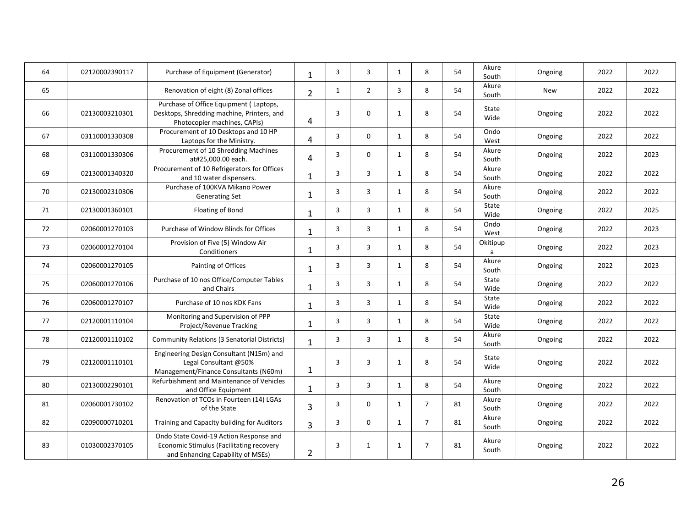| 64 | 02120002390117 | Purchase of Equipment (Generator)                                                                                        | $\mathbf{1}$   | 3            | 3              | $\mathbf{1}$ | 8              | 54 | Akure<br>South | Ongoing    | 2022 | 2022 |
|----|----------------|--------------------------------------------------------------------------------------------------------------------------|----------------|--------------|----------------|--------------|----------------|----|----------------|------------|------|------|
| 65 |                | Renovation of eight (8) Zonal offices                                                                                    | $\overline{2}$ | $\mathbf{1}$ | $\overline{2}$ | 3            | 8              | 54 | Akure<br>South | <b>New</b> | 2022 | 2022 |
| 66 | 02130003210301 | Purchase of Office Equipment (Laptops,<br>Desktops, Shredding machine, Printers, and<br>Photocopier machines, CAPIs)     | 4              | 3            | $\mathbf 0$    | $\mathbf{1}$ | 8              | 54 | State<br>Wide  | Ongoing    | 2022 | 2022 |
| 67 | 03110001330308 | Procurement of 10 Desktops and 10 HP<br>Laptops for the Ministry.                                                        | 4              | 3            | $\mathbf 0$    | 1            | 8              | 54 | Ondo<br>West   | Ongoing    | 2022 | 2022 |
| 68 | 03110001330306 | Procurement of 10 Shredding Machines<br>at#25,000.00 each.                                                               | 4              | 3            | $\mathbf 0$    | 1            | 8              | 54 | Akure<br>South | Ongoing    | 2022 | 2023 |
| 69 | 02130001340320 | Procurement of 10 Refrigerators for Offices<br>and 10 water dispensers.                                                  | 1              | 3            | 3              | 1            | 8              | 54 | Akure<br>South | Ongoing    | 2022 | 2022 |
| 70 | 02130002310306 | Purchase of 100KVA Mikano Power<br><b>Generating Set</b>                                                                 | $\mathbf{1}$   | 3            | 3              | 1            | 8              | 54 | Akure<br>South | Ongoing    | 2022 | 2022 |
| 71 | 02130001360101 | Floating of Bond                                                                                                         | $\mathbf{1}$   | 3            | $\overline{3}$ | 1            | 8              | 54 | State<br>Wide  | Ongoing    | 2022 | 2025 |
| 72 | 02060001270103 | Purchase of Window Blinds for Offices                                                                                    | $\mathbf{1}$   | 3            | 3              | 1            | 8              | 54 | Ondo<br>West   | Ongoing    | 2022 | 2023 |
| 73 | 02060001270104 | Provision of Five (5) Window Air<br>Conditioners                                                                         | 1              | 3            | 3              | 1            | 8              | 54 | Okitipup<br>a  | Ongoing    | 2022 | 2023 |
| 74 | 02060001270105 | Painting of Offices                                                                                                      | $\mathbf{1}$   | 3            | 3              | 1            | 8              | 54 | Akure<br>South | Ongoing    | 2022 | 2023 |
| 75 | 02060001270106 | Purchase of 10 nos Office/Computer Tables<br>and Chairs                                                                  | 1              | 3            | 3              | $\mathbf{1}$ | 8              | 54 | State<br>Wide  | Ongoing    | 2022 | 2022 |
| 76 | 02060001270107 | Purchase of 10 nos KDK Fans                                                                                              | $\mathbf{1}$   | 3            | 3              | $\mathbf{1}$ | 8              | 54 | State<br>Wide  | Ongoing    | 2022 | 2022 |
| 77 | 02120001110104 | Monitoring and Supervision of PPP<br>Project/Revenue Tracking                                                            | $\mathbf{1}$   | 3            | 3              | $\mathbf{1}$ | 8              | 54 | State<br>Wide  | Ongoing    | 2022 | 2022 |
| 78 | 02120001110102 | <b>Community Relations (3 Senatorial Districts)</b>                                                                      | $\mathbf{1}$   | 3            | 3              | 1            | 8              | 54 | Akure<br>South | Ongoing    | 2022 | 2022 |
| 79 | 02120001110101 | Engineering Design Consultant (N15m) and<br>Legal Consultant @50%<br>Management/Finance Consultants (N60m)               | 1              | 3            | $\overline{3}$ | 1            | 8              | 54 | State<br>Wide  | Ongoing    | 2022 | 2022 |
| 80 | 02130002290101 | Refurbishment and Maintenance of Vehicles<br>and Office Equipment                                                        | $\mathbf{1}$   | 3            | $\overline{3}$ | $\mathbf{1}$ | 8              | 54 | Akure<br>South | Ongoing    | 2022 | 2022 |
| 81 | 02060001730102 | Renovation of TCOs in Fourteen (14) LGAs<br>of the State                                                                 | $\overline{3}$ | 3            | $\mathbf 0$    | $\mathbf{1}$ | $\overline{7}$ | 81 | Akure<br>South | Ongoing    | 2022 | 2022 |
| 82 | 02090000710201 | Training and Capacity building for Auditors                                                                              | 3              | 3            | $\mathbf 0$    | $\mathbf{1}$ | $\overline{7}$ | 81 | Akure<br>South | Ongoing    | 2022 | 2022 |
| 83 | 01030002370105 | Ondo State Covid-19 Action Response and<br>Economic Stimulus (Facilitating recovery<br>and Enhancing Capability of MSEs) | $\overline{2}$ | 3            | $\mathbf{1}$   | 1            | $\overline{7}$ | 81 | Akure<br>South | Ongoing    | 2022 | 2022 |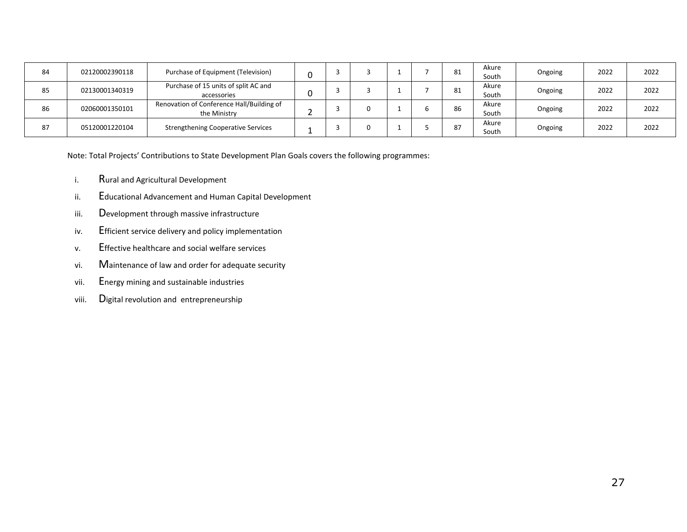| 84 | 02120002390118 | Purchase of Equipment (Television)                        |  |  | ᅆ  | Akure<br>South | Ongoing | 2022 | 2022 |
|----|----------------|-----------------------------------------------------------|--|--|----|----------------|---------|------|------|
| 85 | 02130001340319 | Purchase of 15 units of split AC and<br>accessories       |  |  | ᅆ  | Akure<br>South | Ongoing | 2022 | 2022 |
| 86 | 02060001350101 | Renovation of Conference Hall/Building of<br>the Ministry |  |  | 86 | Akure<br>South | Ongoing | 2022 | 2022 |
| 87 | 05120001220104 | <b>Strengthening Cooperative Services</b>                 |  |  | ٥  | Akure<br>South | Ongoing | 2022 | 2022 |

Note: Total Projects' Contributions to State Development Plan Goals covers the following programmes:

- i. Rural and Agricultural Development
- ii. Educational Advancement and Human Capital Development
- iii. Development through massive infrastructure
- iv. Efficient service delivery and policy implementation
- v. Effective healthcare and social welfare services
- vi. Maintenance of law and order for adequate security
- vii. Energy mining and sustainable industries
- viii. Digital revolution and entrepreneurship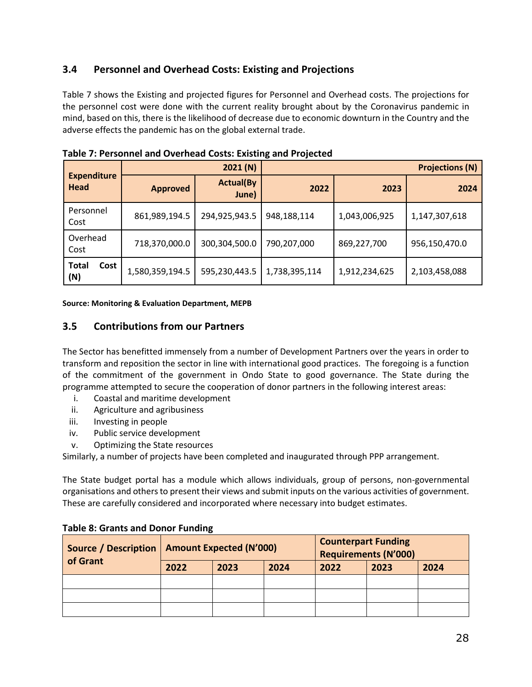### **3.4 Personnel and Overhead Costs: Existing and Projections**

Table 7 shows the Existing and projected figures for Personnel and Overhead costs. The projections for the personnel cost were done with the current reality brought about by the Coronavirus pandemic in mind, based on this, there is the likelihood of decrease due to economic downturn in the Country and the adverse effects the pandemic has on the global external trade.

|                                   |                 | 2021(N)                   |               | <b>Projections (N)</b> |               |  |
|-----------------------------------|-----------------|---------------------------|---------------|------------------------|---------------|--|
| <b>Expenditure</b><br><b>Head</b> | <b>Approved</b> | <b>Actual(By</b><br>June) | 2022          | 2023                   | 2024          |  |
| Personnel<br>Cost                 | 861,989,194.5   | 294,925,943.5             | 948,188,114   | 1,043,006,925          | 1,147,307,618 |  |
| Overhead<br>Cost                  | 718,370,000.0   | 300,304,500.0             | 790,207,000   | 869,227,700            | 956,150,470.0 |  |
| <b>Total</b><br>Cost<br>(N)       | 1,580,359,194.5 | 595,230,443.5             | 1,738,395,114 | 1,912,234,625          | 2,103,458,088 |  |

<span id="page-27-1"></span>

| Table 7: Personnel and Overhead Costs: Existing and Projected |  |
|---------------------------------------------------------------|--|
|---------------------------------------------------------------|--|

#### **Source: Monitoring & Evaluation Department, MEPB**

#### <span id="page-27-0"></span>**3.5 Contributions from our Partners**

The Sector has benefitted immensely from a number of Development Partners over the years in order to transform and reposition the sector in line with international good practices. The foregoing is a function of the commitment of the government in Ondo State to good governance. The State during the programme attempted to secure the cooperation of donor partners in the following interest areas:

- i. Coastal and maritime development
- ii. Agriculture and agribusiness
- iii. Investing in people
- iv. Public service development
- v. Optimizing the State resources

Similarly, a number of projects have been completed and inaugurated through PPP arrangement.

The State budget portal has a module which allows individuals, group of persons, non-governmental organisations and others to present their views and submit inputs on the various activities of government. These are carefully considered and incorporated where necessary into budget estimates.

| <b>Source / Description</b><br>of Grant |      | <b>Amount Expected (N'000)</b> |      | <b>Counterpart Funding</b><br><b>Requirements (N'000)</b> |      |      |  |  |  |
|-----------------------------------------|------|--------------------------------|------|-----------------------------------------------------------|------|------|--|--|--|
|                                         | 2022 | 2023                           | 2024 | 2022                                                      | 2023 | 2024 |  |  |  |
|                                         |      |                                |      |                                                           |      |      |  |  |  |
|                                         |      |                                |      |                                                           |      |      |  |  |  |
|                                         |      |                                |      |                                                           |      |      |  |  |  |

#### <span id="page-27-2"></span>**Table 8: Grants and Donor Funding**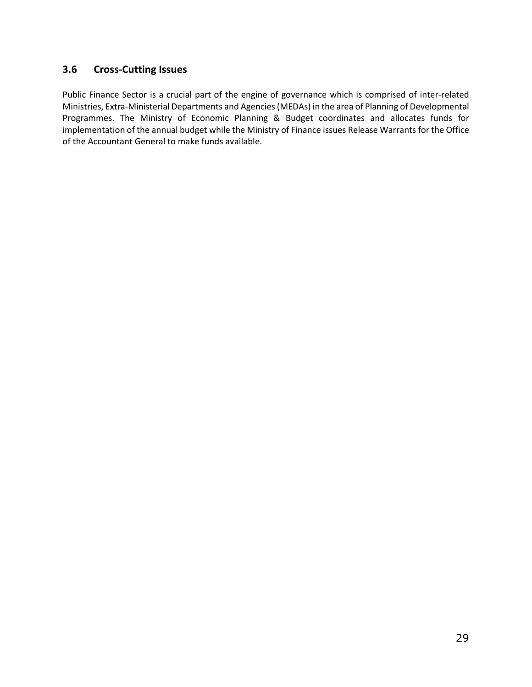#### <span id="page-28-0"></span>**3.6 Cross-Cutting Issues**

Public Finance Sector is a crucial part of the engine of governance which is comprised of inter-related Ministries, Extra-Ministerial Departments and Agencies(MEDAs) in the area of Planning of Developmental Programmes. The Ministry of Economic Planning & Budget coordinates and allocates funds for implementation of the annual budget while the Ministry of Finance issues Release Warrants for the Office of the Accountant General to make funds available.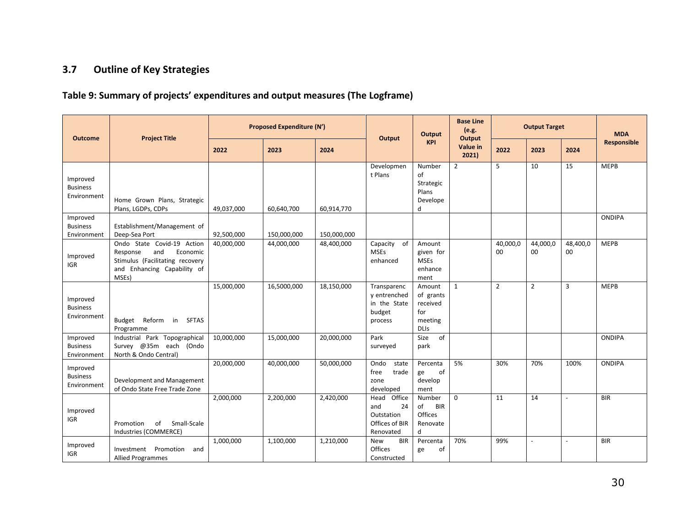## **3.7 Outline of Key Strategies**

## **Table 9: Summary of projects' expenditures and output measures (The Logframe)**

<span id="page-29-1"></span><span id="page-29-0"></span>

| <b>Outcome</b>                             | <b>Project Title</b>                                                                                                                 |            | <b>Proposed Expenditure (N')</b> |             | Output                                                                   | <b>Output</b>                                                    | <b>Base Line</b><br>(e.g.<br>Output | <b>Output Target</b> |                |                | <b>MDA</b><br>Responsible |
|--------------------------------------------|--------------------------------------------------------------------------------------------------------------------------------------|------------|----------------------------------|-------------|--------------------------------------------------------------------------|------------------------------------------------------------------|-------------------------------------|----------------------|----------------|----------------|---------------------------|
|                                            |                                                                                                                                      | 2022       | 2023                             | 2024        |                                                                          | <b>KPI</b>                                                       | Value in<br>2021                    | 2022                 | 2023           | 2024           |                           |
| Improved<br><b>Business</b><br>Environment | Home Grown Plans, Strategic<br>Plans, LGDPs, CDPs                                                                                    | 49,037,000 | 60,640,700                       | 60,914,770  | Developmen<br>t Plans                                                    | Number<br>of<br>Strategic<br>Plans<br>Develope<br>d              | $\overline{2}$                      | 5                    | 10             | 15             | <b>MEPB</b>               |
| Improved<br><b>Business</b><br>Environment | Establishment/Management of<br>Deep-Sea Port                                                                                         | 92,500,000 | 150,000,000                      | 150,000,000 |                                                                          |                                                                  |                                     |                      |                |                | <b>ONDIPA</b>             |
| Improved<br><b>IGR</b>                     | Ondo State Covid-19 Action<br>and<br>Response<br>Economic<br>Stimulus (Facilitating recovery<br>and Enhancing Capability of<br>MSEs) | 40,000,000 | 44,000,000                       | 48,400,000  | Capacity of<br><b>MSEs</b><br>enhanced                                   | Amount<br>given for<br><b>MSEs</b><br>enhance<br>ment            |                                     | 40,000,0<br>00       | 44,000,0<br>00 | 48,400,0<br>00 | <b>MEPB</b>               |
| Improved<br><b>Business</b><br>Environment | Reform<br>Budget<br>in<br><b>SFTAS</b><br>Programme                                                                                  | 15,000,000 | 16,5000,000                      | 18,150,000  | Transparenc<br>v entrenched<br>in the State<br>budget<br>process         | Amount<br>of grants<br>received<br>for<br>meeting<br><b>DLIs</b> | $\mathbf{1}$                        | $\overline{2}$       | $\overline{2}$ | $\overline{3}$ | <b>MEPB</b>               |
| Improved<br><b>Business</b><br>Environment | Industrial Park Topographical<br>Survey @35m each (Ondo<br>North & Ondo Central)                                                     | 10,000,000 | 15,000,000                       | 20,000,000  | Park<br>surveyed                                                         | of<br>Size<br>park                                               |                                     |                      |                |                | <b>ONDIPA</b>             |
| Improved<br><b>Business</b><br>Environment | Development and Management<br>of Ondo State Free Trade Zone                                                                          | 20,000,000 | 40,000,000                       | 50,000,000  | Ondo<br>state<br>trade<br>free<br>zone<br>developed                      | Percenta<br>of<br>ge<br>develop<br>ment                          | 5%                                  | 30%                  | 70%            | 100%           | <b>ONDIPA</b>             |
| Improved<br><b>IGR</b>                     | Promotion<br>of<br>Small-Scale<br>Industries (COMMERCE)                                                                              | 2,000,000  | 2,200,000                        | 2,420,000   | Office<br>Head<br>and<br>24<br>Outstation<br>Offices of BIR<br>Renovated | Number<br><b>BIR</b><br>of<br>Offices<br>Renovate<br>d           | $\Omega$                            | 11                   | 14             | $\overline{a}$ | <b>BIR</b>                |
| Improved<br><b>IGR</b>                     | Investment Promotion<br>and<br><b>Allied Programmes</b>                                                                              | 1,000,000  | 1,100,000                        | 1,210,000   | <b>New</b><br><b>BIR</b><br>Offices<br>Constructed                       | Percenta<br>of<br>ge                                             | 70%                                 | 99%                  | $\sim$         | $\sim$         | <b>BIR</b>                |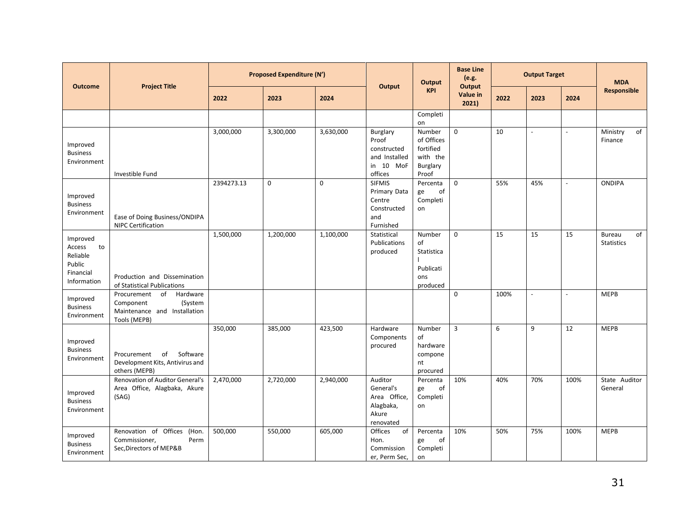| <b>Outcome</b>                                                             | <b>Project Title</b>                                                                                  | <b>Proposed Expenditure (N')</b> |             |             | Output                                                                     | Output                                                             | <b>Base Line</b><br>(e.g.<br><b>Output</b> | <b>Output Target</b> |                          |                | <b>MDA</b><br>Responsible                |
|----------------------------------------------------------------------------|-------------------------------------------------------------------------------------------------------|----------------------------------|-------------|-------------|----------------------------------------------------------------------------|--------------------------------------------------------------------|--------------------------------------------|----------------------|--------------------------|----------------|------------------------------------------|
|                                                                            |                                                                                                       | 2022                             | 2023        | 2024        |                                                                            | <b>KPI</b>                                                         | Value in<br>2021)                          | 2022                 | 2023                     | 2024           |                                          |
|                                                                            |                                                                                                       |                                  |             |             |                                                                            | Completi<br>on                                                     |                                            |                      |                          |                |                                          |
| Improved<br><b>Business</b><br>Environment                                 | Investible Fund                                                                                       | 3,000,000                        | 3,300,000   | 3,630,000   | Burglary<br>Proof<br>constructed<br>and Installed<br>in 10 MoF<br>offices  | Number<br>of Offices<br>fortified<br>with the<br>Burglary<br>Proof | $\mathbf 0$                                | 10                   | $\overline{\phantom{a}}$ | $\overline{a}$ | Ministry<br>of<br>Finance                |
| Improved<br><b>Business</b><br>Environment                                 | Ease of Doing Business/ONDIPA<br><b>NIPC Certification</b>                                            | 2394273.13                       | $\mathbf 0$ | $\mathbf 0$ | <b>SIFMIS</b><br>Primary Data<br>Centre<br>Constructed<br>and<br>Furnished | Percenta<br>of<br>ge<br>Completi<br>on                             | $\mathbf 0$                                | 55%                  | 45%                      | $\overline{a}$ | <b>ONDIPA</b>                            |
| Improved<br>Access<br>to<br>Reliable<br>Public<br>Financial<br>Information | Production and Dissemination<br>of Statistical Publications                                           | 1,500,000                        | 1,200,000   | 1,100,000   | Statistical<br>Publications<br>produced                                    | Number<br>of<br>Statistica<br>Publicati<br>ons<br>produced         | $\mathbf 0$                                | 15                   | 15                       | 15             | of<br><b>Bureau</b><br><b>Statistics</b> |
| Improved<br><b>Business</b><br>Environment                                 | of<br>Procurement<br>Hardware<br>Component<br>(System<br>Maintenance and Installation<br>Tools (MEPB) |                                  |             |             |                                                                            |                                                                    | $\mathbf 0$                                | 100%                 | $\blacksquare$           | $\blacksquare$ | <b>MEPB</b>                              |
| Improved<br><b>Business</b><br>Environment                                 | Software<br>of<br>Procurement<br>Development Kits, Antivirus and<br>others (MEPB)                     | 350,000                          | 385,000     | 423,500     | Hardware<br>Components<br>procured                                         | Number<br>of<br>hardware<br>compone<br>nt<br>procured              | $\overline{3}$                             | 6                    | 9                        | 12             | <b>MEPB</b>                              |
| Improved<br><b>Business</b><br>Environment                                 | Renovation of Auditor General's<br>Area Office, Alagbaka, Akure<br>(SAG)                              | 2,470,000                        | 2,720,000   | 2,940,000   | Auditor<br>General's<br>Area Office,<br>Alagbaka,<br>Akure<br>renovated    | Percenta<br>of<br>ge<br>Completi<br>on                             | 10%                                        | 40%                  | 70%                      | 100%           | State Auditor<br>General                 |
| Improved<br><b>Business</b><br>Environment                                 | Renovation of Offices (Hon.<br>Commissioner,<br>Perm<br>Sec, Directors of MEP&B                       | 500,000                          | 550,000     | 605,000     | Offices<br>of<br>Hon.<br>Commission<br>er, Perm Sec,                       | Percenta<br>of<br>ge<br>Completi<br>on                             | 10%                                        | 50%                  | 75%                      | 100%           | <b>MEPB</b>                              |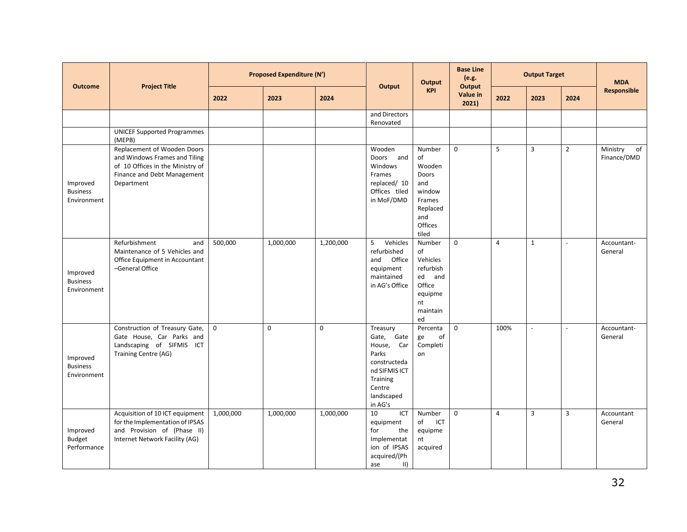|                                            | <b>Outcome</b><br><b>Project Title</b>                                                                                                        |             | <b>Proposed Expenditure (N')</b> |           |                                                                                                                                            | Output                                                                                            | <b>Base Line</b><br>(e.g.<br>Output |                | <b>Output Target</b> |                | <b>MDA</b><br><b>Responsible</b> |
|--------------------------------------------|-----------------------------------------------------------------------------------------------------------------------------------------------|-------------|----------------------------------|-----------|--------------------------------------------------------------------------------------------------------------------------------------------|---------------------------------------------------------------------------------------------------|-------------------------------------|----------------|----------------------|----------------|----------------------------------|
|                                            |                                                                                                                                               | 2022        | 2023                             | 2024      | Output                                                                                                                                     | <b>KPI</b>                                                                                        | Value in<br>2021                    | 2022           | 2023                 | 2024           |                                  |
|                                            |                                                                                                                                               |             |                                  |           | and Directors<br>Renovated                                                                                                                 |                                                                                                   |                                     |                |                      |                |                                  |
|                                            | <b>UNICEF Supported Programmes</b><br>(MEPB)                                                                                                  |             |                                  |           |                                                                                                                                            |                                                                                                   |                                     |                |                      |                |                                  |
| Improved<br><b>Business</b><br>Environment | Replacement of Wooden Doors<br>and Windows Frames and Tiling<br>of 10 Offices in the Ministry of<br>Finance and Debt Management<br>Department |             |                                  |           | Wooden<br>Doors<br>and<br>Windows<br>Frames<br>replaced/ 10<br>Offices tiled<br>in MoF/DMD                                                 | Number<br>of<br>Wooden<br>Doors<br>and<br>window<br>Frames<br>Replaced<br>and<br>Offices<br>tiled | $\mathbf 0$                         | 5              | 3                    | $\overline{2}$ | Ministry<br>of<br>Finance/DMD    |
| Improved<br><b>Business</b><br>Environment | Refurbishment<br>and<br>Maintenance of 5 Vehicles and<br>Office Equipment in Accountant<br>-General Office                                    | 500,000     | 1,000,000                        | 1,200,000 | 5<br>Vehicles<br>refurbished<br>Office<br>and<br>equipment<br>maintained<br>in AG's Office                                                 | Number<br>of<br>Vehicles<br>refurbish<br>ed and<br>Office<br>equipme<br>nt<br>maintain<br>ed      | $\mathbf 0$                         | $\overline{4}$ | $\mathbf{1}$         | $\sim$         | Accountant-<br>General           |
| Improved<br><b>Business</b><br>Environment | Construction of Treasury Gate,<br>Gate House, Car Parks and<br>Landscaping of SIFMIS ICT<br>Training Centre (AG)                              | $\mathsf 0$ | $\mathbf 0$                      | 0         | Treasury<br>Gate<br>Gate,<br>Car<br>House,<br>Parks<br>constructeda<br>nd SIFMIS ICT<br><b>Training</b><br>Centre<br>landscaped<br>in AG's | Percenta<br>οf<br>ge<br>Completi<br>on                                                            | $\mathbf 0$                         | 100%           | $\mathbb{L}$         | $\sim$         | Accountant-<br>General           |
| Improved<br><b>Budget</b><br>Performance   | Acquisition of 10 ICT equipment<br>for the Implementation of IPSAS<br>and Provision of (Phase II)<br>Internet Network Facility (AG)           | 1,000,000   | 1,000,000                        | 1,000,000 | 10<br>ICT<br>equipment<br>for<br>the<br>Implementat<br>ion of IPSAS<br>acquired/(Ph<br>$\vert \vert \vert$<br>ase                          | Number<br>of<br>ICT<br>equipme<br>nt<br>acquired                                                  | $\mathbf 0$                         | $\overline{4}$ | 3                    | $\overline{3}$ | Accountant<br>General            |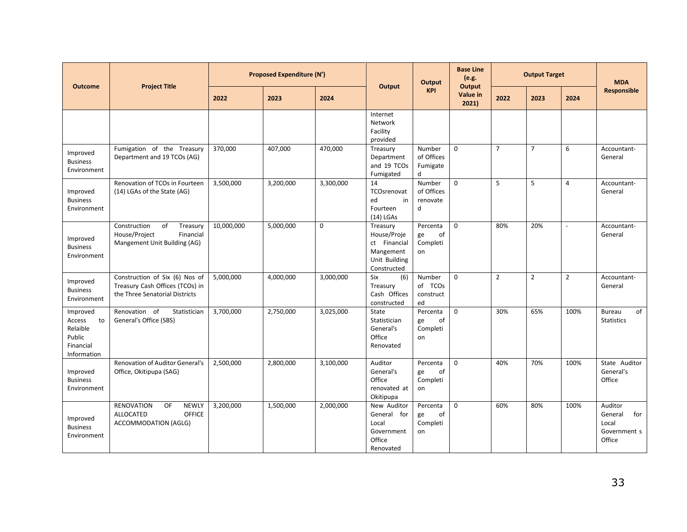| <b>Project Title</b><br><b>Outcome</b>                                     |                                                                                                     | <b>Proposed Expenditure (N')</b> |           |             | Output                                                                               | Output                                 | <b>Base Line</b><br>(e.g.<br>Output | <b>Output Target</b> |                |                | <b>MDA</b><br>Responsible                                    |
|----------------------------------------------------------------------------|-----------------------------------------------------------------------------------------------------|----------------------------------|-----------|-------------|--------------------------------------------------------------------------------------|----------------------------------------|-------------------------------------|----------------------|----------------|----------------|--------------------------------------------------------------|
|                                                                            |                                                                                                     | 2022                             | 2023      | 2024        |                                                                                      | <b>KPI</b>                             | Value in<br>2021)                   | 2022                 | 2023           | 2024           |                                                              |
|                                                                            |                                                                                                     |                                  |           |             | Internet<br>Network<br>Facility<br>provided                                          |                                        |                                     |                      |                |                |                                                              |
| Improved<br><b>Business</b><br>Environment                                 | Fumigation of the Treasury<br>Department and 19 TCOs (AG)                                           | 370,000                          | 407,000   | 470,000     | Treasury<br>Department<br>and 19 TCOs<br>Fumigated                                   | Number<br>of Offices<br>Fumigate<br>d  | $\Omega$                            | $\overline{7}$       | $\overline{7}$ | 6              | Accountant-<br>General                                       |
| Improved<br><b>Business</b><br>Environment                                 | Renovation of TCOs in Fourteen<br>(14) LGAs of the State (AG)                                       | 3,500,000                        | 3,200,000 | 3,300,000   | 14<br>TCOsrenovat<br>in<br>ed<br>Fourteen<br>$(14)$ LGAs                             | Number<br>of Offices<br>renovate<br>d  | $\mathbf 0$                         | 5                    | 5              | $\overline{4}$ | Accountant-<br>General                                       |
| Improved<br><b>Business</b><br>Environment                                 | Construction<br>of<br>Treasury<br>House/Project<br>Financial<br>Mangement Unit Building (AG)        | 10,000,000                       | 5,000,000 | $\mathbf 0$ | Treasury<br>House/Proje<br>ct Financial<br>Mangement<br>Unit Building<br>Constructed | Percenta<br>of<br>ge<br>Completi<br>on | $\mathbf 0$                         | 80%                  | 20%            | $\blacksquare$ | Accountant-<br>General                                       |
| Improved<br><b>Business</b><br>Environment                                 | Construction of Six (6) Nos of<br>Treasury Cash Offices (TCOs) in<br>the Three Senatorial Districts | 5,000,000                        | 4,000,000 | 3,000,000   | (6)<br>Six<br>Treasury<br>Cash Offices<br>constructed                                | Number<br>of TCOs<br>construct<br>ed   | $\mathbf 0$                         | $\overline{2}$       | $\overline{2}$ | $\overline{2}$ | Accountant-<br>General                                       |
| Improved<br>Access<br>to<br>Relaible<br>Public<br>Financial<br>Information | Renovation of<br>Statistician<br>General's Office (SBS)                                             | 3,700,000                        | 2,750,000 | 3,025,000   | <b>State</b><br>Statistician<br>General's<br>Office<br>Renovated                     | Percenta<br>of<br>ge<br>Completi<br>on | $\Omega$                            | 30%                  | 65%            | 100%           | of<br><b>Bureau</b><br><b>Statistics</b>                     |
| Improved<br><b>Business</b><br>Environment                                 | <b>Renovation of Auditor General's</b><br>Office, Okitipupa (SAG)                                   | 2,500,000                        | 2,800,000 | 3,100,000   | Auditor<br>General's<br>Office<br>renovated at<br>Okitipupa                          | Percenta<br>of<br>ge<br>Completi<br>on | $\Omega$                            | 40%                  | 70%            | 100%           | State Auditor<br>General's<br>Office                         |
| Improved<br><b>Business</b><br>Environment                                 | <b>RENOVATION</b><br><b>NEWLY</b><br>OF<br>OFFICE<br><b>ALLOCATED</b><br>ACCOMMODATION (AGLG)       | 3,200,000                        | 1,500,000 | 2,000,000   | New Auditor<br>General for<br>Local<br>Government<br>Office<br>Renovated             | Percenta<br>of<br>ge<br>Completi<br>on | $\Omega$                            | 60%                  | 80%            | 100%           | Auditor<br>for<br>General<br>Local<br>Government s<br>Office |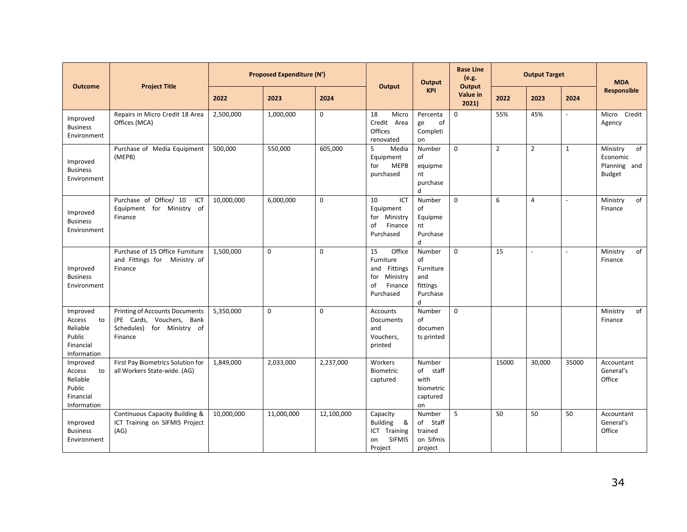| <b>Outcome</b>                                                             | <b>Proposed Expenditure (N')</b><br><b>Project Title</b>                                                    |            |             | Output      | Output                                                                                     | <b>Base Line</b><br>(e.g.<br>Output                           |                   | <b>Output Target</b> |                | <b>MDA</b><br>Responsible |                                                             |
|----------------------------------------------------------------------------|-------------------------------------------------------------------------------------------------------------|------------|-------------|-------------|--------------------------------------------------------------------------------------------|---------------------------------------------------------------|-------------------|----------------------|----------------|---------------------------|-------------------------------------------------------------|
|                                                                            |                                                                                                             | 2022       | 2023        | 2024        |                                                                                            | <b>KPI</b>                                                    | Value in<br>2021) | 2022                 | 2023           | 2024                      |                                                             |
| Improved<br><b>Business</b><br>Environment                                 | Repairs in Micro Credit 18 Area<br>Offices (MCA)                                                            | 2,500,000  | 1,000,000   | 0           | 18<br>Micro<br>Credit Area<br>Offices<br>renovated                                         | Percenta<br>of<br>ge<br>Completi<br>on                        | $\mathbf 0$       | 55%                  | 45%            |                           | Micro Credit<br>Agency                                      |
| Improved<br><b>Business</b><br>Environment                                 | Purchase of Media Equipment<br>(MEPB)                                                                       | 500,000    | 550,000     | 605,000     | 5<br>Media<br>Equipment<br><b>MEPB</b><br>for<br>purchased                                 | Number<br>of<br>equipme<br>nt<br>purchase<br>d                | $\mathbf 0$       | $\overline{2}$       | $\overline{2}$ | $\mathbf{1}$              | Ministry<br>of<br>Economic<br>Planning and<br><b>Budget</b> |
| Improved<br><b>Business</b><br>Environment                                 | Purchase of Office/ 10<br>ICT<br>Equipment for Ministry of<br>Finance                                       | 10,000,000 | 6,000,000   | $\mathbf 0$ | 10<br>ICT<br>Equipment<br>for Ministry<br>of<br>Finance<br>Purchased                       | Number<br>of<br>Equipme<br>nt<br>Purchase<br>d                | $\mathbf 0$       | 6                    | 4              | $\overline{a}$            | of<br>Ministry<br>Finance                                   |
| Improved<br><b>Business</b><br>Environment                                 | Purchase of 15 Office Furniture<br>and Fittings for Ministry of<br>Finance                                  | 1,500,000  | 0           | $\mathbf 0$ | Office<br>15<br>Furniture<br>and Fittings<br>for<br>Ministry<br>of<br>Finance<br>Purchased | Number<br>of<br>Furniture<br>and<br>fittings<br>Purchase<br>d | $\mathbf 0$       | 15                   | $\blacksquare$ | $\overline{\phantom{a}}$  | Ministry<br>of<br>Finance                                   |
| Improved<br>Access<br>to<br>Reliable<br>Public<br>Financial<br>Information | <b>Printing of Accounts Documents</b><br>(PE Cards, Vouchers, Bank<br>Schedules) for Ministry of<br>Finance | 5,350,000  | $\mathbf 0$ | $\Omega$    | <b>Accounts</b><br>Documents<br>and<br>Vouchers,<br>printed                                | Number<br>of<br>documen<br>ts printed                         | $\mathbf 0$       |                      |                |                           | Ministry<br>of<br>Finance                                   |
| Improved<br>Access<br>to<br>Reliable<br>Public<br>Financial<br>Information | First Pay Biometrics Solution for<br>all Workers State-wide. (AG)                                           | 1,849,000  | 2,033,000   | 2,237,000   | Workers<br>Biometric<br>captured                                                           | Number<br>of staff<br>with<br>biometric<br>captured<br>on     |                   | 15000                | 30,000         | 35000                     | Accountant<br>General's<br>Office                           |
| Improved<br><b>Business</b><br>Environment                                 | Continuous Capacity Building &<br>ICT Training on SIFMIS Project<br>(AG)                                    | 10,000,000 | 11,000,000  | 12,100,000  | Capacity<br><b>Building</b><br>&<br>ICT Training<br><b>SIFMIS</b><br>on<br>Project         | Number<br>of Staff<br>trained<br>on Sifmis<br>project         | 5                 | 50                   | 50             | 50                        | Accountant<br>General's<br>Office                           |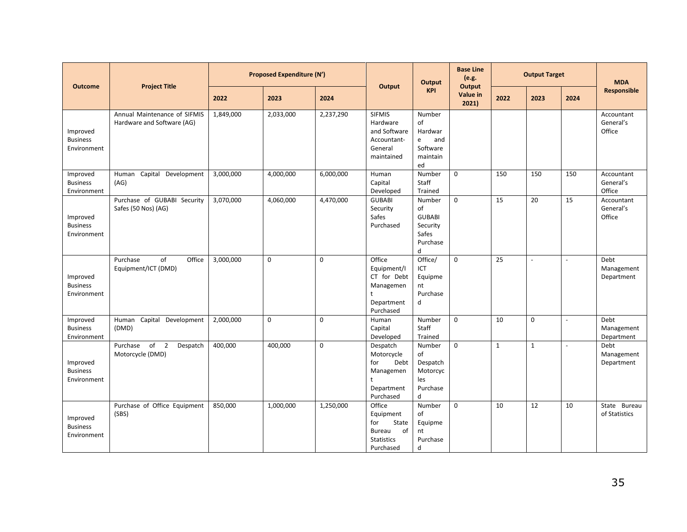| <b>Outcome</b>                             | <b>Project Title</b>                                       |           | <b>Proposed Expenditure (N')</b> |           | Output                                                                                | Output                                                              | <b>Base Line</b><br>(e.g.<br>Output |             | <b>Output Target</b>     |                          | <b>MDA</b>                        |
|--------------------------------------------|------------------------------------------------------------|-----------|----------------------------------|-----------|---------------------------------------------------------------------------------------|---------------------------------------------------------------------|-------------------------------------|-------------|--------------------------|--------------------------|-----------------------------------|
|                                            |                                                            | 2022      | 2023                             | 2024      |                                                                                       | <b>KPI</b>                                                          | Value in<br>2021)                   | 2022        | 2023                     | 2024                     | Responsible                       |
| Improved<br><b>Business</b><br>Environment | Annual Maintenance of SIFMIS<br>Hardware and Software (AG) | 1,849,000 | 2,033,000                        | 2,237,290 | <b>SIFMIS</b><br>Hardware<br>and Software<br>Accountant-<br>General<br>maintained     | Number<br>of<br>Hardwar<br>e<br>and<br>Software<br>maintain<br>ed   |                                     |             |                          |                          | Accountant<br>General's<br>Office |
| Improved<br><b>Business</b><br>Environment | Human Capital<br>Development<br>(AG)                       | 3,000,000 | 4,000,000                        | 6,000,000 | Human<br>Capital<br>Developed                                                         | Number<br>Staff<br>Trained                                          | $\mathsf 0$                         | 150         | 150                      | 150                      | Accountant<br>General's<br>Office |
| Improved<br><b>Business</b><br>Environment | Purchase of GUBABI Security<br>Safes (50 Nos) (AG)         | 3,070,000 | 4,060,000                        | 4,470,000 | <b>GUBABI</b><br>Security<br>Safes<br>Purchased                                       | Number<br>οf<br><b>GUBABI</b><br>Security<br>Safes<br>Purchase<br>d | $\mathbf 0$                         | 15          | 20                       | 15                       | Accountant<br>General's<br>Office |
| Improved<br><b>Business</b><br>Environment | of<br>Office<br>Purchase<br>Equipment/ICT (DMD)            | 3,000,000 | 0                                | 0         | Office<br>Equipment/I<br>CT for Debt<br>Managemen<br>t<br>Department<br>Purchased     | Office/<br>ICT<br>Equipme<br>nt<br>Purchase<br>d                    | $\mathsf 0$                         | 25          | $\overline{\phantom{a}}$ | $\overline{\phantom{a}}$ | Debt<br>Management<br>Department  |
| Improved<br><b>Business</b><br>Environment | Capital Development<br>Human<br>(DMD)                      | 2,000,000 | 0                                | 0         | Human<br>Capital<br>Developed                                                         | Number<br>Staff<br>Trained                                          | $\mathsf 0$                         | 10          | 0                        | $\overline{\phantom{a}}$ | Debt<br>Management<br>Department  |
| Improved<br><b>Business</b><br>Environment | of 2<br>Purchase<br>Despatch<br>Motorcycle (DMD)           | 400,000   | 400,000                          | 0         | Despatch<br>Motorcycle<br>for<br>Debt<br>Managemen<br>Department<br>Purchased         | Number<br>of<br>Despatch<br>Motorcyc<br>les<br>Purchase<br>d        | $\mathbf 0$                         | $\mathbf 1$ | $\mathbf{1}$             | $\sim$                   | Debt<br>Management<br>Department  |
| Improved<br><b>Business</b><br>Environment | Purchase of Office Equipment<br>(SBS)                      | 850,000   | 1,000,000                        | 1,250,000 | Office<br>Equipment<br>for<br>State<br>of<br>Bureau<br><b>Statistics</b><br>Purchased | Number<br>of<br>Equipme<br>nt<br>Purchase<br>d                      | $\mathsf 0$                         | 10          | 12                       | 10                       | State Bureau<br>of Statistics     |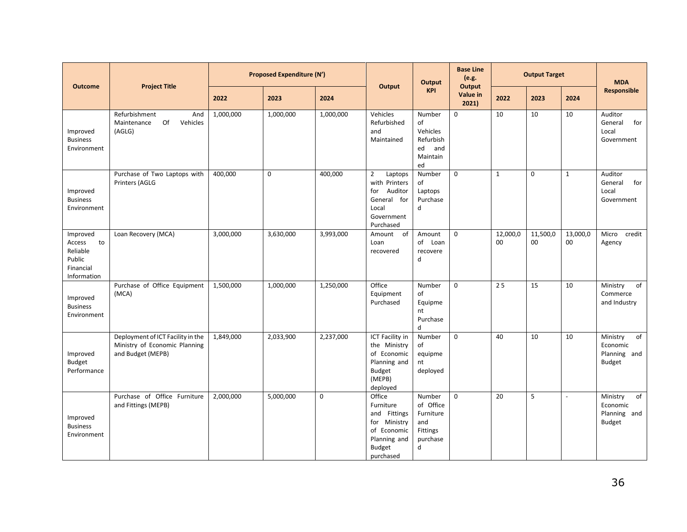| <b>Outcome</b>                                                             | <b>Project Title</b>                                                                    |           | <b>Proposed Expenditure (N')</b> |             | Output                                                                                                           | Output                                                               | <b>Base Line</b><br>(e.g.<br><b>Output</b> |                | <b>Output Target</b> |                | <b>MDA</b>                                                               |
|----------------------------------------------------------------------------|-----------------------------------------------------------------------------------------|-----------|----------------------------------|-------------|------------------------------------------------------------------------------------------------------------------|----------------------------------------------------------------------|--------------------------------------------|----------------|----------------------|----------------|--------------------------------------------------------------------------|
|                                                                            |                                                                                         | 2022      | 2023                             | 2024        |                                                                                                                  | <b>KPI</b>                                                           | Value in<br>2021                           | 2022           | 2023                 | 2024           | <b>Responsible</b>                                                       |
| Improved<br><b>Business</b><br>Environment                                 | Refurbishment<br>And<br>Of<br>Maintenance<br>Vehicles<br>(AGLG)                         | 1,000,000 | 1,000,000                        | 1,000,000   | Vehicles<br>Refurbished<br>and<br>Maintained                                                                     | Number<br>of<br>Vehicles<br>Refurbish<br>ed<br>and<br>Maintain<br>ed | $\mathbf 0$                                | 10             | 10                   | 10             | Auditor<br>General<br>for<br>Local<br>Government                         |
| Improved<br><b>Business</b><br>Environment                                 | Purchase of Two Laptops with<br>Printers (AGLG                                          | 400,000   | $\mathbf 0$                      | 400,000     | $\overline{2}$<br>Laptops<br>with Printers<br>for Auditor<br>General for<br>Local<br>Government<br>Purchased     | Number<br>of<br>Laptops<br>Purchase<br>d                             | $\mathbf 0$                                | $\mathbf{1}$   | $\mathbf 0$          | $\mathbf{1}$   | Auditor<br>for<br>General<br>Local<br>Government                         |
| Improved<br>Access<br>to<br>Reliable<br>Public<br>Financial<br>Information | Loan Recovery (MCA)                                                                     | 3,000,000 | 3,630,000                        | 3,993,000   | Amount<br>of<br>Loan<br>recovered                                                                                | Amount<br>of Loan<br>recovere<br>d                                   | $\mathbf 0$                                | 12,000,0<br>00 | 11,500,0<br>00       | 13,000,0<br>00 | Micro<br>credit<br>Agency                                                |
| Improved<br><b>Business</b><br>Environment                                 | Purchase of Office Equipment<br>(MCA)                                                   | 1,500,000 | 1,000,000                        | 1,250,000   | Office<br>Equipment<br>Purchased                                                                                 | Number<br>of<br>Equipme<br>nt<br>Purchase<br>d                       | $\mathsf 0$                                | 25             | 15                   | 10             | of<br>Ministry<br>Commerce<br>and Industry                               |
| Improved<br><b>Budget</b><br>Performance                                   | Deployment of ICT Facility in the<br>Ministry of Economic Planning<br>and Budget (MEPB) | 1,849,000 | 2,033,900                        | 2,237,000   | ICT Facility in<br>the Ministry<br>of Economic<br>Planning and<br><b>Budget</b><br>(MEPB)<br>deployed            | Number<br>of<br>equipme<br>nt<br>deployed                            | $\mathbf 0$                                | 40             | 10                   | 10             | $\overline{of}$<br>Ministry<br>Economic<br>Planning and<br><b>Budget</b> |
| Improved<br><b>Business</b><br>Environment                                 | Purchase of Office Furniture<br>and Fittings (MEPB)                                     | 2,000,000 | 5,000,000                        | $\mathbf 0$ | Office<br>Furniture<br>and Fittings<br>for Ministry<br>of Economic<br>Planning and<br><b>Budget</b><br>purchased | Number<br>of Office<br>Furniture<br>and<br>Fittings<br>purchase<br>d | $\mathbf 0$                                | 20             | 5                    | $\sim$         | of<br>Ministry<br>Economic<br>Planning and<br><b>Budget</b>              |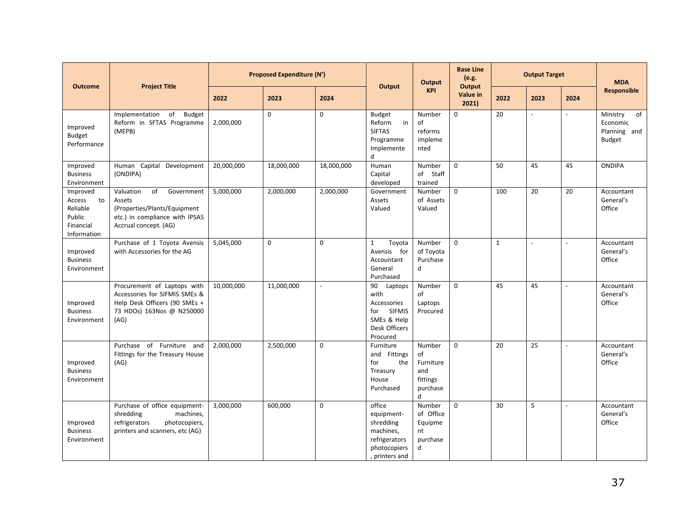| <b>Outcome</b>                                                             | <b>Project Title</b>                                                                                                               | <b>Proposed Expenditure (N')</b> |            |                | Output                                                                                                   | Output                                                        | <b>Base Line</b><br>(e.g.<br>Output | <b>Output Target</b> |                          |                | <b>MDA</b>                                                  |
|----------------------------------------------------------------------------|------------------------------------------------------------------------------------------------------------------------------------|----------------------------------|------------|----------------|----------------------------------------------------------------------------------------------------------|---------------------------------------------------------------|-------------------------------------|----------------------|--------------------------|----------------|-------------------------------------------------------------|
|                                                                            |                                                                                                                                    | 2022                             | 2023       | 2024           |                                                                                                          | <b>KPI</b>                                                    | Value in<br>2021)                   | 2022                 | 2023                     | 2024           | <b>Responsible</b>                                          |
| Improved<br><b>Budget</b><br>Performance                                   | Implementation<br>of<br><b>Budget</b><br>Reform in SFTAS Programme<br>(MEPB)                                                       | 2,000,000                        | 0          | 0              | <b>Budget</b><br>Reform<br>in<br><b>SIFTAS</b><br>Programme<br>Implemente<br>d                           | Number<br>of<br>reforms<br>impleme<br>nted                    | $\mathbf 0$                         | 20                   | $\overline{\phantom{0}}$ | $\overline{a}$ | Ministry<br>of<br>Economic<br>Planning and<br><b>Budget</b> |
| Improved<br><b>Business</b><br>Environment                                 | Human Capital Development<br>(ONDIPA)                                                                                              | 20,000,000                       | 18,000,000 | 18,000,000     | Human<br>Capital<br>developed                                                                            | Number<br>of Staff<br>trained                                 | $\mathbf 0$                         | 50                   | 45                       | 45             | <b>ONDIPA</b>                                               |
| Improved<br>Access<br>to<br>Reliable<br>Public<br>Financial<br>Information | of<br>Valuation<br>Government<br>Assets<br>(Properties/Plants/Equipment<br>etc.) in compliance with IPSAS<br>Accrual concept. (AG) | 5,000,000                        | 2,000,000  | 2,000,000      | Government<br>Assets<br>Valued                                                                           | Number<br>of Assets<br>Valued                                 | $\mathbf 0$                         | 100                  | 20                       | 20             | Accountant<br>General's<br>Office                           |
| Improved<br><b>Business</b><br>Environment                                 | Purchase of 1 Toyota Avensis<br>with Accessories for the AG                                                                        | 5,045,000                        | 0          | 0              | $\mathbf{1}$<br>Toyota<br>Avensis for<br>Accountant<br>General<br>Purchased                              | Number<br>of Toyota<br>Purchase<br>d                          | $\Omega$                            | $\mathbf{1}$         | $\overline{a}$           |                | Accountant<br>General's<br>Office                           |
| Improved<br><b>Business</b><br>Environment                                 | Procurement of Laptops with<br>Accessories for SIFMIS SMEs &<br>Help Desk Officers (90 SMEs +<br>73 HDOs) 163Nos @ N250000<br>(AG) | 10,000,000                       | 11,000,000 | $\overline{a}$ | 90<br>Laptops<br>with<br>Accessories<br><b>SIFMIS</b><br>for<br>SMEs & Help<br>Desk Officers<br>Procured | Number<br>of<br>Laptops<br>Procured                           | $\mathbf 0$                         | 45                   | 45                       | $\sim$         | Accountant<br>General's<br>Office                           |
| Improved<br><b>Business</b><br>Environment                                 | Purchase of Furniture and<br>Fittings for the Treasury House<br>(AG)                                                               | 2,000,000                        | 2,500,000  | 0              | Furniture<br>and Fittings<br>for<br>the<br>Treasury<br>House<br>Purchased                                | Number<br>of<br>Furniture<br>and<br>fittings<br>purchase<br>d | $\mathbf 0$                         | 20                   | 25                       | $\blacksquare$ | Accountant<br>General's<br>Office                           |
| Improved<br><b>Business</b><br>Environment                                 | Purchase of office equipment-<br>machines,<br>shredding<br>refrigerators<br>photocopiers,<br>printers and scanners, etc (AG)       | 3.000.000                        | 600.000    | $\Omega$       | office<br>equipment-<br>shredding<br>machines,<br>refrigerators<br>photocopiers<br>, printers and        | Number<br>of Office<br>Equipme<br>nt<br>purchase<br>d         | $\Omega$                            | 30                   | 5                        | $\sim$         | Accountant<br>General's<br>Office                           |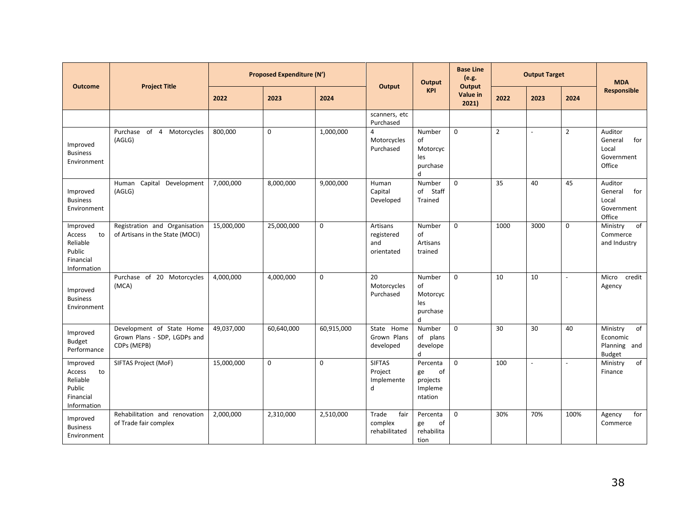| <b>Outcome</b>                                                             | <b>Project Title</b>                                                     |            | <b>Proposed Expenditure (N')</b> |            | Output                                      | Output                                                 | <b>Base Line</b><br>(e.g.<br>Output<br><b>KPI</b> |                | <b>Output Target</b> |                |                                                             | <b>MDA</b> |
|----------------------------------------------------------------------------|--------------------------------------------------------------------------|------------|----------------------------------|------------|---------------------------------------------|--------------------------------------------------------|---------------------------------------------------|----------------|----------------------|----------------|-------------------------------------------------------------|------------|
|                                                                            |                                                                          | 2022       | 2023                             | 2024       |                                             |                                                        | Value in<br>2021)                                 | 2022           | 2023                 | 2024           | Responsible                                                 |            |
|                                                                            |                                                                          |            |                                  |            | scanners, etc<br>Purchased                  |                                                        |                                                   |                |                      |                |                                                             |            |
| Improved<br><b>Business</b><br>Environment                                 | Purchase of 4<br>Motorcycles<br>(AGLG)                                   | 800,000    | $\mathbf 0$                      | 1,000,000  | 4<br>Motorcycles<br>Purchased               | Number<br>of<br>Motorcyc<br>les<br>purchase<br>d       | $\mathbf 0$                                       | $\overline{2}$ | $\overline{a}$       | $\overline{2}$ | Auditor<br>General<br>for<br>Local<br>Government<br>Office  |            |
| Improved<br><b>Business</b><br>Environment                                 | Capital Development<br>Human<br>(AGLG)                                   | 7,000,000  | 8,000,000                        | 9,000,000  | Human<br>Capital<br>Developed               | Number<br>of Staff<br><b>Trained</b>                   | $\Omega$                                          | 35             | 40                   | 45             | Auditor<br>General<br>for<br>Local<br>Government<br>Office  |            |
| Improved<br>Access<br>to<br>Reliable<br>Public<br>Financial<br>Information | Registration and Organisation<br>of Artisans in the State (MOCI)         | 15,000,000 | 25,000,000                       | 0          | Artisans<br>registered<br>and<br>orientated | Number<br>of<br>Artisans<br>trained                    | $\mathbf 0$                                       | 1000           | 3000                 | $\mathbf 0$    | of<br>Ministry<br>Commerce<br>and Industry                  |            |
| Improved<br><b>Business</b><br>Environment                                 | Purchase of 20 Motorcycles<br>(MCA)                                      | 4,000,000  | 4,000,000                        | 0          | 20<br>Motorcycles<br>Purchased              | Number<br>of<br>Motorcyc<br>les<br>purchase<br>d       | $\mathbf 0$                                       | 10             | 10                   | $\blacksquare$ | Micro<br>credit<br>Agency                                   |            |
| Improved<br><b>Budget</b><br>Performance                                   | Development of State Home<br>Grown Plans - SDP, LGDPs and<br>CDPs (MEPB) | 49,037,000 | 60,640,000                       | 60,915,000 | State Home<br>Grown Plans<br>developed      | Number<br>of plans<br>develope<br>d                    | $\mathbf 0$                                       | 30             | 30                   | 40             | Ministry<br>of<br>Economic<br>Planning and<br><b>Budget</b> |            |
| Improved<br>to<br>Access<br>Reliable<br>Public<br>Financial<br>Information | SIFTAS Project (MoF)                                                     | 15,000,000 | $\mathbf 0$                      | $\Omega$   | <b>SIFTAS</b><br>Project<br>Implemente<br>d | Percenta<br>of<br>ge<br>projects<br>Impleme<br>ntation | $\mathbf 0$                                       | 100            | $\overline{a}$       |                | $\overline{of}$<br>Ministry<br>Finance                      |            |
| Improved<br><b>Business</b><br>Environment                                 | Rehabilitation and renovation<br>of Trade fair complex                   | 2,000,000  | 2,310,000                        | 2,510,000  | Trade<br>fair<br>complex<br>rehabilitated   | Percenta<br>ge<br>of<br>rehabilita<br>tion             | $\mathbf 0$                                       | 30%            | 70%                  | 100%           | for<br>Agency<br>Commerce                                   |            |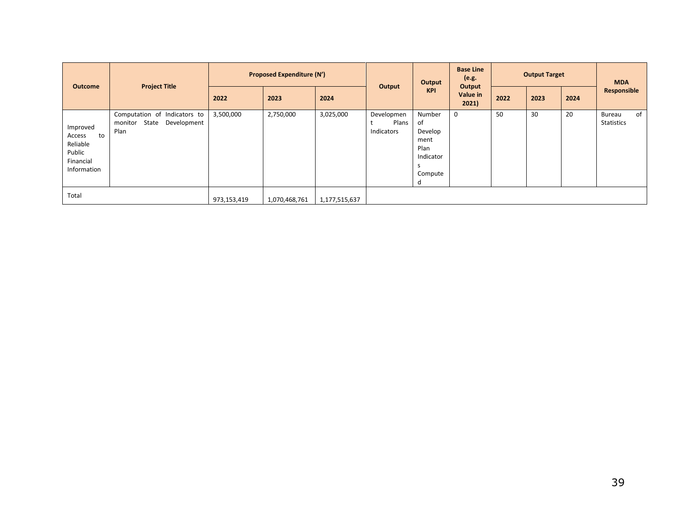| <b>Outcome</b>                                                             | <b>Project Title</b>                                                    | <b>Proposed Expenditure (N')</b> |               |               | Output                            | Output                                                               | <b>Base Line</b><br>(e.g.<br>Output | <b>Output Target</b> |      |      | <b>MDA</b>                               |
|----------------------------------------------------------------------------|-------------------------------------------------------------------------|----------------------------------|---------------|---------------|-----------------------------------|----------------------------------------------------------------------|-------------------------------------|----------------------|------|------|------------------------------------------|
|                                                                            |                                                                         | 2022                             | 2023          | 2024          |                                   | <b>KPI</b>                                                           | Value in<br>2021                    | 2022                 | 2023 | 2024 | Responsible                              |
| Improved<br>to<br>Access<br>Reliable<br>Public<br>Financial<br>Information | Computation of Indicators to<br>monitor<br>State<br>Development<br>Plan | 3,500,000                        | 2,750,000     | 3,025,000     | Developmen<br>Plans<br>Indicators | Number<br>of<br>Develop<br>ment<br>Plan<br>Indicator<br>Compute<br>α | 0                                   | 50                   | 30   | 20   | of<br><b>Bureau</b><br><b>Statistics</b> |
| Total                                                                      |                                                                         | 973,153,419                      | 1,070,468,761 | 1,177,515,637 |                                   |                                                                      |                                     |                      |      |      |                                          |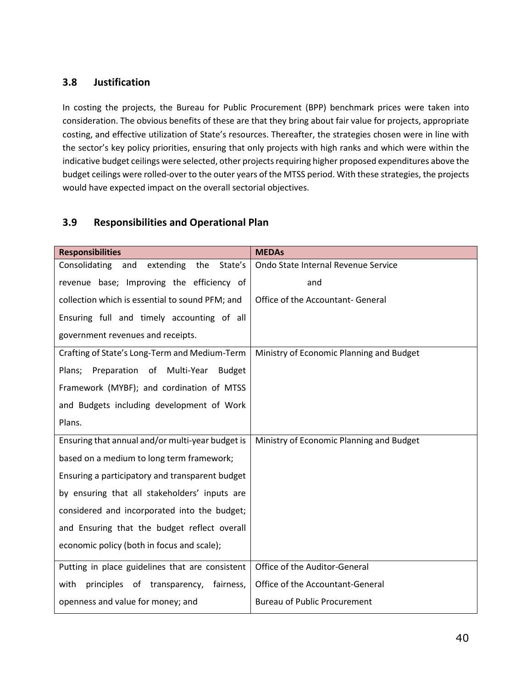### <span id="page-39-0"></span>**3.8 Justification**

In costing the projects, the Bureau for Public Procurement (BPP) benchmark prices were taken into consideration. The obvious benefits of these are that they bring about fair value for projects, appropriate costing, and effective utilization of State's resources. Thereafter, the strategies chosen were in line with the sector's key policy priorities, ensuring that only projects with high ranks and which were within the indicative budget ceilings were selected, other projects requiring higher proposed expenditures above the budget ceilings were rolled-over to the outer years of the MTSS period. With these strategies, the projects would have expected impact on the overall sectorial objectives.

### <span id="page-39-1"></span>**3.9 Responsibilities and Operational Plan**

| <b>Responsibilities</b>                              | <b>MEDAs</b>                             |
|------------------------------------------------------|------------------------------------------|
| Consolidating<br>extending<br>and<br>the<br>State's  | Ondo State Internal Revenue Service      |
| revenue base; Improving the efficiency of            | and                                      |
| collection which is essential to sound PFM; and      | Office of the Accountant- General        |
| Ensuring full and timely accounting of all           |                                          |
| government revenues and receipts.                    |                                          |
| Crafting of State's Long-Term and Medium-Term        | Ministry of Economic Planning and Budget |
| Preparation of Multi-Year<br>Plans;<br><b>Budget</b> |                                          |
| Framework (MYBF); and cordination of MTSS            |                                          |
| and Budgets including development of Work            |                                          |
| Plans.                                               |                                          |
| Ensuring that annual and/or multi-year budget is     | Ministry of Economic Planning and Budget |
| based on a medium to long term framework;            |                                          |
| Ensuring a participatory and transparent budget      |                                          |
| by ensuring that all stakeholders' inputs are        |                                          |
| considered and incorporated into the budget;         |                                          |
| and Ensuring that the budget reflect overall         |                                          |
| economic policy (both in focus and scale);           |                                          |
| Putting in place guidelines that are consistent      | Office of the Auditor-General            |
| principles of transparency,<br>fairness,<br>with     | Office of the Accountant-General         |
| openness and value for money; and                    | <b>Bureau of Public Procurement</b>      |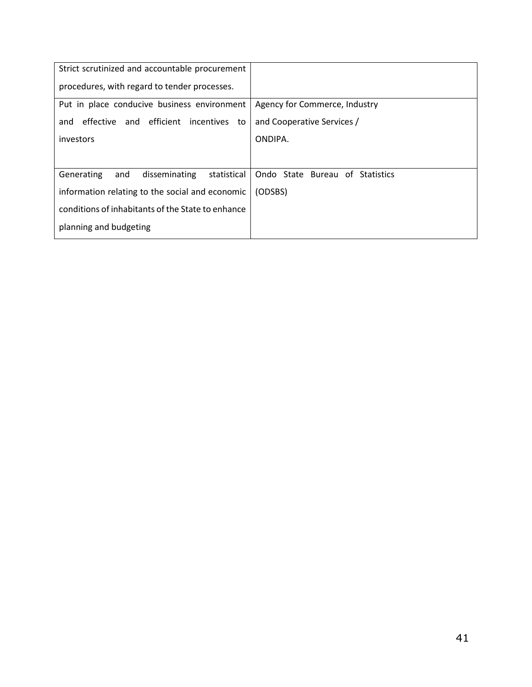| Strict scrutinized and accountable procurement    |                                 |
|---------------------------------------------------|---------------------------------|
| procedures, with regard to tender processes.      |                                 |
| Put in place conducive business environment       | Agency for Commerce, Industry   |
| and efficient incentives to<br>effective<br>and   | and Cooperative Services /      |
| investors                                         | ONDIPA.                         |
|                                                   |                                 |
| Generating<br>disseminating<br>statistical<br>and | Ondo State Bureau of Statistics |
| information relating to the social and economic   | (ODSBS)                         |
| conditions of inhabitants of the State to enhance |                                 |
| planning and budgeting                            |                                 |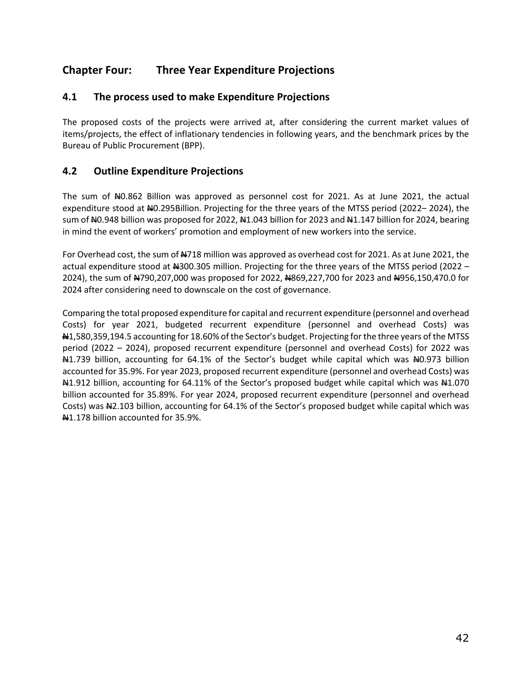### <span id="page-41-0"></span>**Chapter Four: Three Year Expenditure Projections**

### <span id="page-41-1"></span>**4.1 The process used to make Expenditure Projections**

The proposed costs of the projects were arrived at, after considering the current market values of items/projects, the effect of inflationary tendencies in following years, and the benchmark prices by the Bureau of Public Procurement (BPP).

### <span id="page-41-2"></span>**4.2 Outline Expenditure Projections**

The sum of  $\text{\#}0.862$  Billion was approved as personnel cost for 2021. As at June 2021, the actual expenditure stood at N0.295Billion. Projecting for the three years of the MTSS period (2022– 2024), the sum of  $\mu$ 0.948 billion was proposed for 2022,  $\mu$ 1.043 billion for 2023 and  $\mu$ 1.147 billion for 2024, bearing in mind the event of workers' promotion and employment of new workers into the service.

For Overhead cost, the sum of N718 million was approved as overhead cost for 2021. As at June 2021, the actual expenditure stood at #300.305 million. Projecting for the three years of the MTSS period (2022 -2024), the sum of  $\mu$ 790,207,000 was proposed for 2022,  $\mu$ 869,227,700 for 2023 and  $\mu$ 956,150,470.0 for 2024 after considering need to downscale on the cost of governance.

Comparing the total proposed expenditure for capital and recurrent expenditure (personnel and overhead Costs) for year 2021, budgeted recurrent expenditure (personnel and overhead Costs) was N1,580,359,194.5 accounting for 18.60% of the Sector's budget. Projecting for the three years of the MTSS period (2022 – 2024), proposed recurrent expenditure (personnel and overhead Costs) for 2022 was N<sub>1.739</sub> billion, accounting for 64.1% of the Sector's budget while capital which was N<sub>0.973</sub> billion accounted for 35.9%. For year 2023, proposed recurrent expenditure (personnel and overhead Costs) was A 1.912 billion, accounting for 64.11% of the Sector's proposed budget while capital which was A 1.070 billion accounted for 35.89%. For year 2024, proposed recurrent expenditure (personnel and overhead Costs) was  $\frac{12.103}{1000}$  billion, accounting for 64.1% of the Sector's proposed budget while capital which was N1.178 billion accounted for 35.9%.